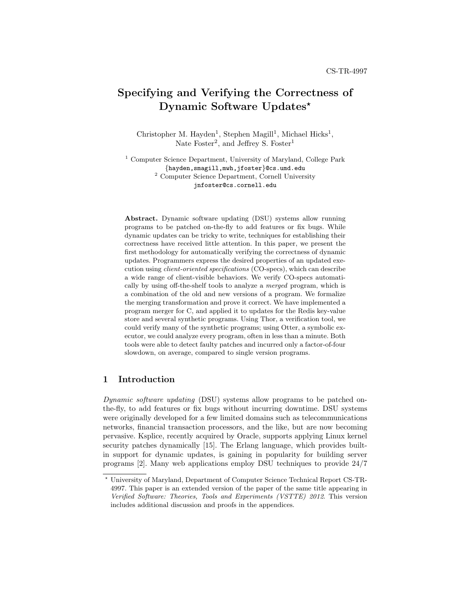# Specifying and Verifying the Correctness of Dynamic Software Updates\*

Christopher M. Hayden<sup>1</sup>, Stephen Magill<sup>1</sup>, Michael Hicks<sup>1</sup>, Nate Foster<sup>2</sup>, and Jeffrey S. Foster<sup>1</sup>

<sup>1</sup> Computer Science Department, University of Maryland, College Park {hayden,smagill,mwh,jfoster}@cs.umd.edu <sup>2</sup> Computer Science Department, Cornell University jnfoster@cs.cornell.edu

Abstract. Dynamic software updating (DSU) systems allow running programs to be patched on-the-fly to add features or fix bugs. While dynamic updates can be tricky to write, techniques for establishing their correctness have received little attention. In this paper, we present the first methodology for automatically verifying the correctness of dynamic updates. Programmers express the desired properties of an updated execution using client-oriented specifications (CO-specs), which can describe a wide range of client-visible behaviors. We verify CO-specs automatically by using off-the-shelf tools to analyze a merged program, which is a combination of the old and new versions of a program. We formalize the merging transformation and prove it correct. We have implemented a program merger for C, and applied it to updates for the Redis key-value store and several synthetic programs. Using Thor, a verification tool, we could verify many of the synthetic programs; using Otter, a symbolic executor, we could analyze every program, often in less than a minute. Both tools were able to detect faulty patches and incurred only a factor-of-four slowdown, on average, compared to single version programs.

# 1 Introduction

Dynamic software updating (DSU) systems allow programs to be patched onthe-fly, to add features or fix bugs without incurring downtime. DSU systems were originally developed for a few limited domains such as telecommunications networks, financial transaction processors, and the like, but are now becoming pervasive. Ksplice, recently acquired by Oracle, supports applying Linux kernel security patches dynamically [15]. The Erlang language, which provides builtin support for dynamic updates, is gaining in popularity for building server programs [2]. Many web applications employ DSU techniques to provide 24/7

<sup>?</sup> University of Maryland, Department of Computer Science Technical Report CS-TR-4997. This paper is an extended version of the paper of the same title appearing in Verified Software: Theories, Tools and Experiments (VSTTE) 2012. This version includes additional discussion and proofs in the appendices.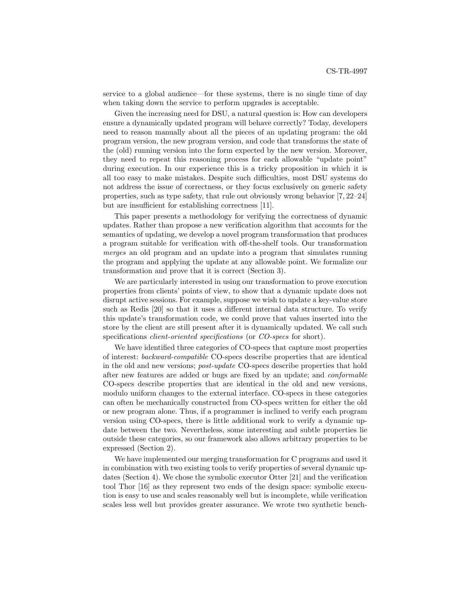service to a global audience—for these systems, there is no single time of day when taking down the service to perform upgrades is acceptable.

Given the increasing need for DSU, a natural question is: How can developers ensure a dynamically updated program will behave correctly? Today, developers need to reason manually about all the pieces of an updating program: the old program version, the new program version, and code that transforms the state of the (old) running version into the form expected by the new version. Moreover, they need to repeat this reasoning process for each allowable "update point" during execution. In our experience this is a tricky proposition in which it is all too easy to make mistakes. Despite such difficulties, most DSU systems do not address the issue of correctness, or they focus exclusively on generic safety properties, such as type safety, that rule out obviously wrong behavior [7, 22–24] but are insufficient for establishing correctness [11].

This paper presents a methodology for verifying the correctness of dynamic updates. Rather than propose a new verification algorithm that accounts for the semantics of updating, we develop a novel program transformation that produces a program suitable for verification with off-the-shelf tools. Our transformation merges an old program and an update into a program that simulates running the program and applying the update at any allowable point. We formalize our transformation and prove that it is correct (Section 3).

We are particularly interested in using our transformation to prove execution properties from clients' points of view, to show that a dynamic update does not disrupt active sessions. For example, suppose we wish to update a key-value store such as Redis [20] so that it uses a different internal data structure. To verify this update's transformation code, we could prove that values inserted into the store by the client are still present after it is dynamically updated. We call such specifications *client-oriented specifications* (or *CO-specs* for short).

We have identified three categories of CO-specs that capture most properties of interest: backward-compatible CO-specs describe properties that are identical in the old and new versions; post-update CO-specs describe properties that hold after new features are added or bugs are fixed by an update; and conformable CO-specs describe properties that are identical in the old and new versions, modulo uniform changes to the external interface. CO-specs in these categories can often be mechanically constructed from CO-specs written for either the old or new program alone. Thus, if a programmer is inclined to verify each program version using CO-specs, there is little additional work to verify a dynamic update between the two. Nevertheless, some interesting and subtle properties lie outside these categories, so our framework also allows arbitrary properties to be expressed (Section 2).

We have implemented our merging transformation for C programs and used it in combination with two existing tools to verify properties of several dynamic updates (Section 4). We chose the symbolic executor Otter [21] and the verification tool Thor [16] as they represent two ends of the design space: symbolic execution is easy to use and scales reasonably well but is incomplete, while verification scales less well but provides greater assurance. We wrote two synthetic bench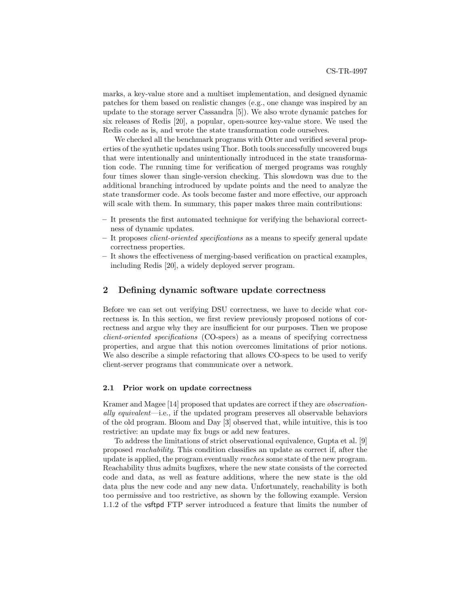marks, a key-value store and a multiset implementation, and designed dynamic patches for them based on realistic changes (e.g., one change was inspired by an update to the storage server Cassandra [5]). We also wrote dynamic patches for six releases of Redis [20], a popular, open-source key-value store. We used the Redis code as is, and wrote the state transformation code ourselves.

We checked all the benchmark programs with Otter and verified several properties of the synthetic updates using Thor. Both tools successfully uncovered bugs that were intentionally and unintentionally introduced in the state transformation code. The running time for verification of merged programs was roughly four times slower than single-version checking. This slowdown was due to the additional branching introduced by update points and the need to analyze the state transformer code. As tools become faster and more effective, our approach will scale with them. In summary, this paper makes three main contributions:

- It presents the first automated technique for verifying the behavioral correctness of dynamic updates.
- It proposes client-oriented specifications as a means to specify general update correctness properties.
- It shows the effectiveness of merging-based verification on practical examples, including Redis [20], a widely deployed server program.

# 2 Defining dynamic software update correctness

Before we can set out verifying DSU correctness, we have to decide what correctness is. In this section, we first review previously proposed notions of correctness and argue why they are insufficient for our purposes. Then we propose client-oriented specifications (CO-specs) as a means of specifying correctness properties, and argue that this notion overcomes limitations of prior notions. We also describe a simple refactoring that allows CO-specs to be used to verify client-server programs that communicate over a network.

### 2.1 Prior work on update correctness

Kramer and Magee [14] proposed that updates are correct if they are observationally equivalent—i.e., if the updated program preserves all observable behaviors of the old program. Bloom and Day [3] observed that, while intuitive, this is too restrictive: an update may fix bugs or add new features.

To address the limitations of strict observational equivalence, Gupta et al. [9] proposed reachability. This condition classifies an update as correct if, after the update is applied, the program eventually reaches some state of the new program. Reachability thus admits bugfixes, where the new state consists of the corrected code and data, as well as feature additions, where the new state is the old data plus the new code and any new data. Unfortunately, reachability is both too permissive and too restrictive, as shown by the following example. Version 1.1.2 of the vsftpd FTP server introduced a feature that limits the number of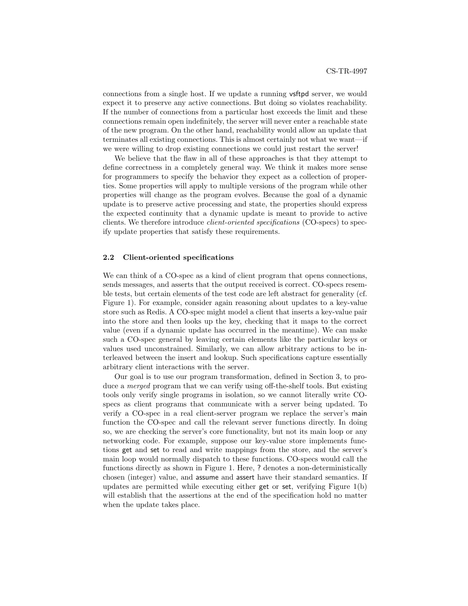connections from a single host. If we update a running vsftpd server, we would expect it to preserve any active connections. But doing so violates reachability. If the number of connections from a particular host exceeds the limit and these connections remain open indefinitely, the server will never enter a reachable state of the new program. On the other hand, reachability would allow an update that terminates all existing connections. This is almost certainly not what we want—if we were willing to drop existing connections we could just restart the server!

We believe that the flaw in all of these approaches is that they attempt to define correctness in a completely general way. We think it makes more sense for programmers to specify the behavior they expect as a collection of properties. Some properties will apply to multiple versions of the program while other properties will change as the program evolves. Because the goal of a dynamic update is to preserve active processing and state, the properties should express the expected continuity that a dynamic update is meant to provide to active clients. We therefore introduce client-oriented specifications (CO-specs) to specify update properties that satisfy these requirements.

### 2.2 Client-oriented specifications

We can think of a CO-spec as a kind of client program that opens connections, sends messages, and asserts that the output received is correct. CO-specs resemble tests, but certain elements of the test code are left abstract for generality (cf. Figure 1). For example, consider again reasoning about updates to a key-value store such as Redis. A CO-spec might model a client that inserts a key-value pair into the store and then looks up the key, checking that it maps to the correct value (even if a dynamic update has occurred in the meantime). We can make such a CO-spec general by leaving certain elements like the particular keys or values used unconstrained. Similarly, we can allow arbitrary actions to be interleaved between the insert and lookup. Such specifications capture essentially arbitrary client interactions with the server.

Our goal is to use our program transformation, defined in Section 3, to produce a merged program that we can verify using off-the-shelf tools. But existing tools only verify single programs in isolation, so we cannot literally write COspecs as client programs that communicate with a server being updated. To verify a CO-spec in a real client-server program we replace the server's main function the CO-spec and call the relevant server functions directly. In doing so, we are checking the server's core functionality, but not its main loop or any networking code. For example, suppose our key-value store implements functions get and set to read and write mappings from the store, and the server's main loop would normally dispatch to these functions. CO-specs would call the functions directly as shown in Figure 1. Here, ? denotes a non-deterministically chosen (integer) value, and assume and assert have their standard semantics. If updates are permitted while executing either get or set, verifying Figure 1(b) will establish that the assertions at the end of the specification hold no matter when the update takes place.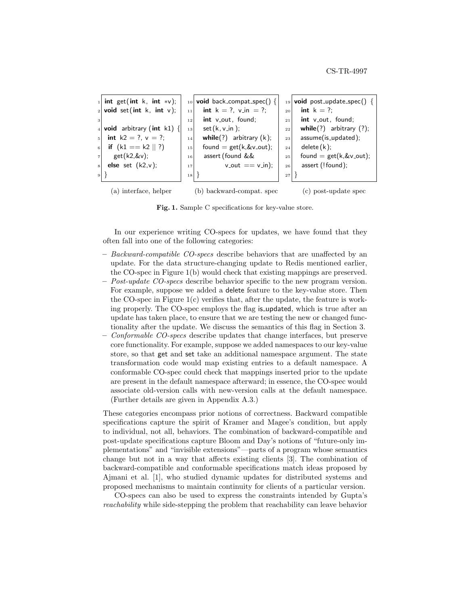

Fig. 1. Sample C specifications for key-value store.

In our experience writing CO-specs for updates, we have found that they often fall into one of the following categories:

- Backward-compatible CO-specs describe behaviors that are unaffected by an update. For the data structure-changing update to Redis mentioned earlier, the CO-spec in Figure 1(b) would check that existing mappings are preserved.
- $P$ ost-update CO-specs describe behavior specific to the new program version. For example, suppose we added a delete feature to the key-value store. Then the CO-spec in Figure 1(c) verifies that, after the update, the feature is working properly. The CO-spec employs the flag is updated, which is true after an update has taken place, to ensure that we are testing the new or changed functionality after the update. We discuss the semantics of this flag in Section 3.
- Conformable CO-specs describe updates that change interfaces, but preserve core functionality. For example, suppose we added namespaces to our key-value store, so that get and set take an additional namespace argument. The state transformation code would map existing entries to a default namespace. A conformable CO-spec could check that mappings inserted prior to the update are present in the default namespace afterward; in essence, the CO-spec would associate old-version calls with new-version calls at the default namespace. (Further details are given in Appendix A.3.)

These categories encompass prior notions of correctness. Backward compatible specifications capture the spirit of Kramer and Magee's condition, but apply to individual, not all, behaviors. The combination of backward-compatible and post-update specifications capture Bloom and Day's notions of "future-only implementations" and "invisible extensions"—parts of a program whose semantics change but not in a way that affects existing clients [3]. The combination of backward-compatible and conformable specifications match ideas proposed by Ajmani et al. [1], who studied dynamic updates for distributed systems and proposed mechanisms to maintain continuity for clients of a particular version.

CO-specs can also be used to express the constraints intended by Gupta's reachability while side-stepping the problem that reachability can leave behavior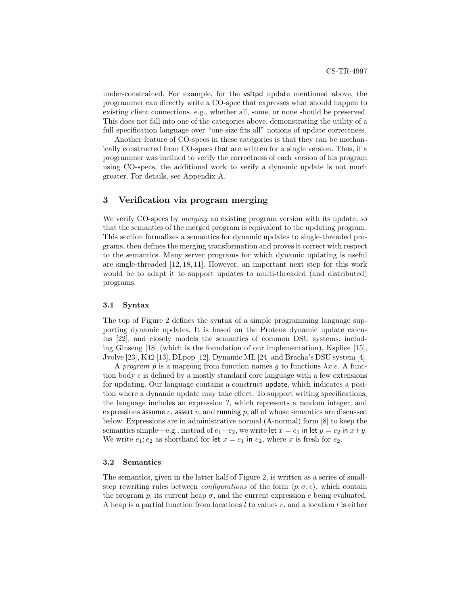under-constrained. For example, for the vsftpd update mentioned above, the programmer can directly write a CO-spec that expresses what should happen to existing client connections, e.g., whether all, some, or none should be preserved. This does not fall into one of the categories above, demonstrating the utility of a full specification language over "one size fits all" notions of update correctness.

Another feature of CO-specs in these categories is that they can be mechanically constructed from CO-specs that are written for a single version. Thus, if a programmer was inclined to verify the correctness of each version of his program using CO-specs, the additional work to verify a dynamic update is not much greater. For details, see Appendix A.

# 3 Verification via program merging

We verify CO-specs by *merging* an existing program version with its update, so that the semantics of the merged program is equivalent to the updating program. This section formalizes a semantics for dynamic updates to single-threaded programs, then defines the merging transformation and proves it correct with respect to the semantics. Many server programs for which dynamic updating is useful are single-threaded [12, 18, 11]. However, an important next step for this work would be to adapt it to support updates to multi-threaded (and distributed) programs.

#### 3.1 Syntax

The top of Figure 2 defines the syntax of a simple programming language supporting dynamic updates. It is based on the Proteus dynamic update calculus [22], and closely models the semantics of common DSU systems, including Ginseng [18] (which is the foundation of our implementation), Ksplice [15], Jvolve [23], K42 [13], DLpop [12], Dynamic ML [24] and Bracha's DSU system [4].

A program p is a mapping from function names g to functions  $\lambda x.e.$  A function body  $e$  is defined by a mostly standard core language with a few extensions for updating. Our language contains a construct update, which indicates a position where a dynamic update may take effect. To support writing specifications, the language includes an expression ?, which represents a random integer, and expressions assume  $v$ , assert  $v$ , and running  $p$ , all of whose semantics are discussed below. Expressions are in administrative normal (A-normal) form [8] to keep the semantics simple—e.g., instead of  $e_1+e_2$ , we write let  $x = e_1$  in let  $y = e_2$  in  $x+y$ . We write  $e_1; e_2$  as shorthand for let  $x = e_1$  in  $e_2$ , where x is fresh for  $e_2$ .

### 3.2 Semantics

The semantics, given in the latter half of Figure 2, is written as a series of smallstep rewriting rules between *configurations* of the form  $\langle p; \sigma; e \rangle$ , which contain the program p, its current heap  $\sigma$ , and the current expression e being evaluated. A heap is a partial function from locations  $l$  to values  $v$ , and a location  $l$  is either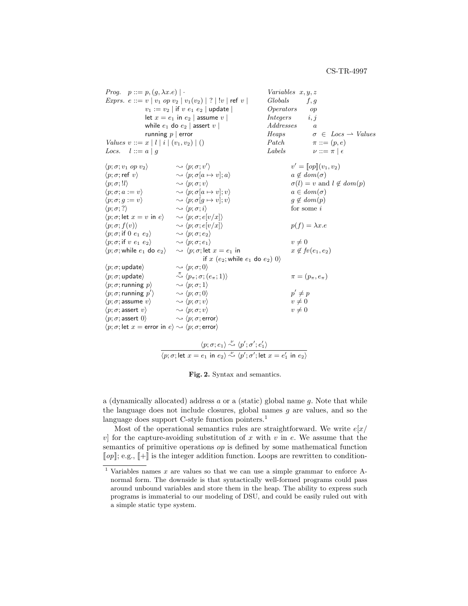*Prog.*  $p ::= p, (g, \lambda x.e) | \cdot$ Exprs.  $e ::= v \mid v_1 op v_2 \mid v_1(v_2) \mid ? \mid !v \mid \text{ref } v \mid$  $v_1 := v_2$  | if v  $e_1 e_2$  | update | let  $x = e_1$  in  $e_2$  | assume  $v$  | while  $e_1$  do  $e_2$  | assert  $v$  | running  $p \mid \textsf{error}$ Values  $v ::= x | l | i | (v_1, v_2) | ()$ Locs.  $l ::= a | g$ Variables  $x, y, z$ Globals f, g Operators op  $Integers$   $i, j$ Addresses a Heaps  $\sigma \in \text{Locs} \rightarrow \text{Values}$ Patch  $\pi ::= (p, e)$ Labels  $\nu ::= \pi | \epsilon$  $\langle p; \sigma; v_1 ~op v_2 \rangle$ <br> $\langle p; \sigma; \mathsf{ref}~ v \rangle$  $\rightsquigarrow \langle p; \sigma; v' \rangle$  $\rangle$  v  $v' = [op](v_1, v_2)$  $\langle p; \sigma; \mathsf{ref} \ v \rangle$   $\rightarrow$   $\langle p; \sigma[a \rightarrow v]; a \rangle$   $a \notin dom(\sigma)$ <br>  $\langle p; \sigma; !l \rangle$   $\rightarrow$   $\langle p; \sigma; v \rangle$   $\sigma(l) = v$  and  $\langle p; \sigma; l \rangle$ <br>  $\langle p; \sigma; a := v \rangle$   $\rightarrow$   $\langle p; \sigma | a \rightarrow v |; v \rangle$   $\sigma(l) = v$  and  $l \notin dom(p)$ <br>  $\langle p; \sigma; a := v \rangle$   $\rightarrow$   $\langle p; \sigma | a \rightarrow v |; v \rangle$   $a \in dom(\sigma)$  $\langle p; \sigma; a := v \rangle$   $\leadsto \langle p; \sigma[a \mapsto v]; v \rangle$   $a \in dom(\sigma)$   $\langle p; \sigma; g := v \rangle$   $\leadsto \langle p; \sigma[g \mapsto v]; v \rangle$   $g \notin dom(p)$  $\langle p; \sigma; g := v \rangle$   $\longrightarrow$   $\langle p; \sigma[g \mapsto v]; v \rangle$   $g \notin dom(p)$ <br>  $\langle p; \sigma; ? \rangle$  for some *i*  $\langle p; \sigma; ? \rangle$  for some i  $\langle p; \sigma \rangle$  let  $x = v$  in  $e \rangle \longrightarrow \langle p; \sigma \rangle \langle e |v/x| \rangle$ <br> $\langle p; \sigma \rangle \langle e |v/x| \rangle \longrightarrow \langle p; \sigma \rangle \langle e |v/x| \rangle$  $\rightsquigarrow \langle p; \sigma; e[v/x] \rangle$ <br>  $\rightsquigarrow \langle p; \sigma; e_2 \rangle$ <br>  $\not\rightsquigarrow \langle p; \sigma; e_2 \rangle$  $\langle p; \sigma; \text{if } 0 \ e_1 \ e_2 \rangle \qquad \longrightarrow \langle p; \sigma; e_2 \rangle$ <br>  $\langle p; \sigma; \text{if } v \ e_1 \ e_2 \rangle \qquad \longrightarrow \langle p; \sigma; e_1 \rangle$  $\langle p; \sigma; \text{if } v \ e_1 \ e_2 \rangle$   $\longrightarrow \langle p; \sigma; e_1 \rangle$   $v \neq 0$ <br>  $\langle p; \sigma; \text{while } e_1 \text{ do } e_2 \rangle$   $\longrightarrow \langle p; \sigma; \text{let } x = e_1 \text{ in}$   $x \notin w$  $\rightsquigarrow \langle p; \sigma; \text{let } x = e_1 \text{ in }$ if x (e<sub>2</sub>; while  $e_1$  do  $e_2$ ) 0)  $x \notin f(v(e_1, e_2))$  $\langle p; \sigma; \mathsf{update} \rangle \longrightarrow \langle p; \sigma; 0 \rangle$  $\langle p; \sigma; \text{update} \rangle$  $\stackrel{\pi}{\leadsto} \langle p_{\pi}; \sigma; (e_{\pi}; 1) \rangle$   $\pi = (p_{\pi}, e_{\pi})$  $\langle p; \sigma;$  running  $p \rangle \rightarrow \langle p; \sigma; 1 \rangle$  $\langle p; \sigma;$  running  $p'$  $\rightsquigarrow \langle p; \sigma; 0 \rangle$ <br>  $\rightsquigarrow \langle p; \sigma; v \rangle$ <br>  $\rightsquigarrow \langle p \phi; \phi | 0 \rangle$  $p' \neq p$  $\langle p; \sigma ; \text{assume } v \rangle \longrightarrow \langle p; \sigma; v \rangle \qquad \qquad v \neq 0$ <br>  $\langle p; \sigma ; \text{assert } v \rangle \qquad \qquad \leadsto \langle p; \sigma; v \rangle \qquad \qquad v \neq 0$  $\langle p; \sigma; \text{assert } v \rangle$ <br> $\langle p; \sigma; \text{assert } 0 \rangle$  $\rightsquigarrow \langle p; \sigma;$  error $\rangle$  $\langle p; \sigma \rangle$ ; let  $x =$  error in  $e \rangle \sim \langle p; \sigma \rangle$ ; error $\rangle$ 

$$
\langle p; \sigma; e_1 \rangle \stackrel{\nu}{\leadsto} \langle p'; \sigma'; e'_1 \rangle
$$
  

$$
\langle p; \sigma; \text{let } x = e_1 \text{ in } e_2 \rangle \stackrel{\nu}{\leadsto} \langle p'; \sigma'; \text{let } x = e'_1 \text{ in } e_2 \rangle
$$

Fig. 2. Syntax and semantics.

a (dynamically allocated) address  $a$  or a (static) global name  $g$ . Note that while the language does not include closures, global names  $q$  are values, and so the language does support C-style function pointers.<sup>1</sup>

Most of the operational semantics rules are straightforward. We write  $e\left\vert x\right\rangle$  $v$  for the capture-avoiding substitution of x with v in e. We assume that the semantics of primitive operations op is defined by some mathematical function  $[\![op]\!]$ ; e.g.,  $[\![\ ]\!]$  is the integer addition function. Loops are rewritten to condition-

<sup>&</sup>lt;sup>1</sup> Variables names x are values so that we can use a simple grammar to enforce Anormal form. The downside is that syntactically well-formed programs could pass around unbound variables and store them in the heap. The ability to express such programs is immaterial to our modeling of DSU, and could be easily ruled out with a simple static type system.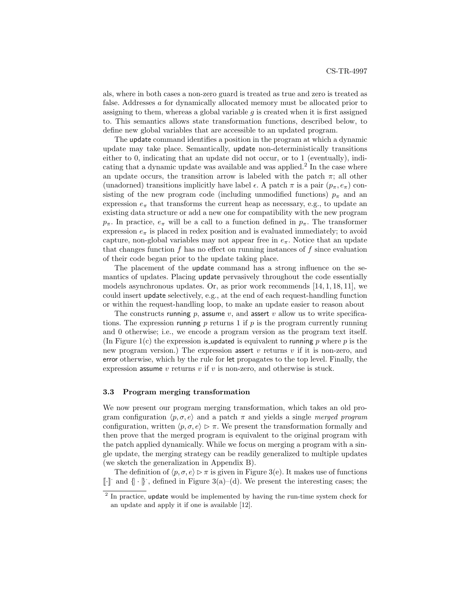als, where in both cases a non-zero guard is treated as true and zero is treated as false. Addresses a for dynamically allocated memory must be allocated prior to assigning to them, whereas a global variable  $q$  is created when it is first assigned to. This semantics allows state transformation functions, described below, to define new global variables that are accessible to an updated program.

The update command identifies a position in the program at which a dynamic update may take place. Semantically, update non-deterministically transitions either to 0, indicating that an update did not occur, or to 1 (eventually), indicating that a dynamic update was available and was applied.<sup>2</sup> In the case where an update occurs, the transition arrow is labeled with the patch  $\pi$ ; all other (unadorned) transitions implicitly have label  $\epsilon$ . A patch  $\pi$  is a pair  $(p_{\pi}, e_{\pi})$  consisting of the new program code (including unmodified functions)  $p_{\pi}$  and an expression  $e_{\pi}$  that transforms the current heap as necessary, e.g., to update an existing data structure or add a new one for compatibility with the new program  $p_{\pi}$ . In practice,  $e_{\pi}$  will be a call to a function defined in  $p_{\pi}$ . The transformer expression  $e_{\pi}$  is placed in redex position and is evaluated immediately; to avoid capture, non-global variables may not appear free in  $e_{\pi}$ . Notice that an update that changes function f has no effect on running instances of f since evaluation of their code began prior to the update taking place.

The placement of the update command has a strong influence on the semantics of updates. Placing update pervasively throughout the code essentially models asynchronous updates. Or, as prior work recommends [14, 1, 18, 11], we could insert update selectively, e.g., at the end of each request-handling function or within the request-handling loop, to make an update easier to reason about

The constructs running  $p$ , assume  $v$ , and assert  $v$  allow us to write specifications. The expression running  $p$  returns 1 if  $p$  is the program currently running and 0 otherwise; i.e., we encode a program version as the program text itself. (In Figure 1(c) the expression is updated is equivalent to running p where p is the new program version.) The expression assert  $v$  returns  $v$  if it is non-zero, and error otherwise, which by the rule for let propagates to the top level. Finally, the expression assume  $v$  returns  $v$  if  $v$  is non-zero, and otherwise is stuck.

#### 3.3 Program merging transformation

We now present our program merging transformation, which takes an old program configuration  $\langle p, \sigma, e \rangle$  and a patch  $\pi$  and yields a single merged program configuration, written  $\langle p, \sigma, e \rangle \triangleright \pi$ . We present the transformation formally and then prove that the merged program is equivalent to the original program with the patch applied dynamically. While we focus on merging a program with a single update, the merging strategy can be readily generalized to multiple updates (we sketch the generalization in Appendix B).

The definition of  $\langle p, \sigma, e \rangle \triangleright \pi$  is given in Figure 3(e). It makes use of functions  $\llbracket \cdot \rrbracket$  and  $\llbracket \cdot \rrbracket$ , defined in Figure 3(a)–(d). We present the interesting cases; the

 $2$  In practice, update would be implemented by having the run-time system check for an update and apply it if one is available [12].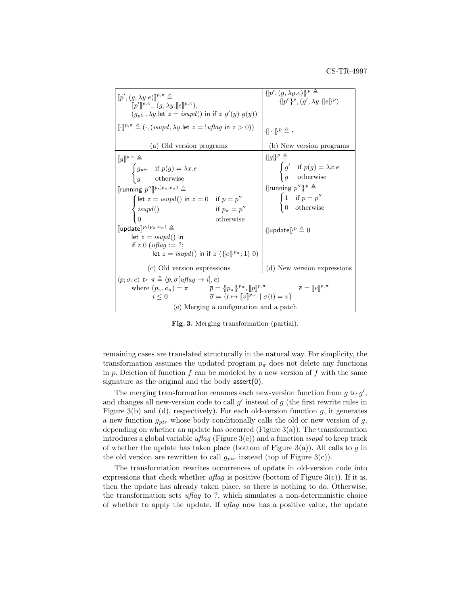| $[\![p', (g, \lambda y.e)]\!]^{p,\pi} \triangleq$                                                                                                     | $\{ [p', (g, \lambda y.e)] \}^p \triangleq$                                            |  |  |  |
|-------------------------------------------------------------------------------------------------------------------------------------------------------|----------------------------------------------------------------------------------------|--|--|--|
| $[ p']^{p,\pi}, (g, \lambda y. [e]^{p,\pi}),$                                                                                                         | $\{  p'  \}^p, (g', \lambda y. \{  e \}^p)$                                            |  |  |  |
| $(g_{ptr}, \lambda y.$ let $z = isupd()$ in if $z g'(y) g(y)$                                                                                         |                                                                                        |  |  |  |
|                                                                                                                                                       |                                                                                        |  |  |  |
| $\llbracket \cdot \rrbracket^{p,\pi} \triangleq (\cdot, (isupd, \lambda y. \text{let } z = !{uflag} \text{ in } z > 0))$                              | $\{\ \cdot\ ^p \triangleq \cdot\}$                                                     |  |  |  |
|                                                                                                                                                       |                                                                                        |  |  |  |
| (a) Old version programs                                                                                                                              | (b) New version programs                                                               |  |  |  |
| $[\![g]\!]^{p,\pi} \triangleq$                                                                                                                        | $\{g\}^p \triangleq$                                                                   |  |  |  |
|                                                                                                                                                       | $\begin{cases} g' & \text{if } p(g) = \lambda x.e \\ g & \text{otherwise} \end{cases}$ |  |  |  |
| $\begin{cases} g_{ptr} & \text{if } p(g) = \lambda x.e \\ g & \text{otherwise} \end{cases}$                                                           |                                                                                        |  |  |  |
| <b>Γ</b> unning $p''$ <sup><i>p</i></sup> , $(p_π,e_π)$ ≜                                                                                             | $\{$ running $p''\}^p \triangleq$                                                      |  |  |  |
| $\begin{cases} \text{let } z = isupd() \text{ in } z = 0 & \text{if } p = p'' \\ isupd() & \text{if } p_{\pi} = p'' \end{cases}$                      |                                                                                        |  |  |  |
|                                                                                                                                                       | $\begin{cases} 1 & \text{if } p = p'' \\ 0 & \text{otherwise} \end{cases}$             |  |  |  |
|                                                                                                                                                       |                                                                                        |  |  |  |
| otherwise<br>$\int \text{update}^{p,(p_{\pi},e_{\pi})} \triangleq$                                                                                    |                                                                                        |  |  |  |
|                                                                                                                                                       | $\{\vert \mathsf{update} \vert\}^p \triangleq 0$                                       |  |  |  |
| let $z = isupd()$ in                                                                                                                                  |                                                                                        |  |  |  |
| if $z \ 0 \ (u \nparallel a \nvert z := ?;$                                                                                                           |                                                                                        |  |  |  |
| let $z = isupd()$ in if $z({e}P^{r_{\pi}}; 1)$ 0)                                                                                                     |                                                                                        |  |  |  |
| (c) Old version expressions                                                                                                                           | (d) New version expressions                                                            |  |  |  |
| $\langle p; \sigma e \rangle \triangleright \pi \triangleq \langle \overline{p}, \overline{\sigma}   u \text{flag} \mapsto i  , \overline{e} \rangle$ |                                                                                        |  |  |  |
| where $(p_{\pi}, e_{\pi}) = \pi$ $\bar{p} = {p_{\pi}}^{p_{\pi}}, [p]^{p_{\pi}}$ $\bar{e} = [e]^{p_{\pi}}$                                             |                                                                                        |  |  |  |
| $\overline{\sigma} = \{l \mapsto [x]^{p,\pi} \mid \sigma(l) = v\}$<br>$i \leq 0$                                                                      |                                                                                        |  |  |  |
| (e) Merging a configuration and a patch                                                                                                               |                                                                                        |  |  |  |

Fig. 3. Merging transformation (partial).

remaining cases are translated structurally in the natural way. For simplicity, the transformation assumes the updated program  $p_{\pi}$  does not delete any functions in p. Deletion of function f can be modeled by a new version of f with the same signature as the original and the body assert(0).

The merging transformation renames each new-version function from  $g$  to  $g'$ , and changes all new-version code to call  $g'$  instead of  $g$  (the first rewrite rules in Figure 3(b) and (d), respectively). For each old-version function  $g$ , it generates a new function  $g_{ptr}$  whose body conditionally calls the old or new version of g, depending on whether an update has occurred (Figure  $3(a)$ ). The transformation introduces a global variable uflag (Figure 3(e)) and a function *isupd* to keep track of whether the update has taken place (bottom of Figure 3(a)). All calls to g in the old version are rewritten to call  $g_{ptr}$  instead (top of Figure 3(c)).

The transformation rewrites occurrences of update in old-version code into expressions that check whether *uflag* is positive (bottom of Figure 3(c)). If it is, then the update has already taken place, so there is nothing to do. Otherwise, the transformation sets  $u\beta a g$  to ?, which simulates a non-deterministic choice of whether to apply the update. If uflag now has a positive value, the update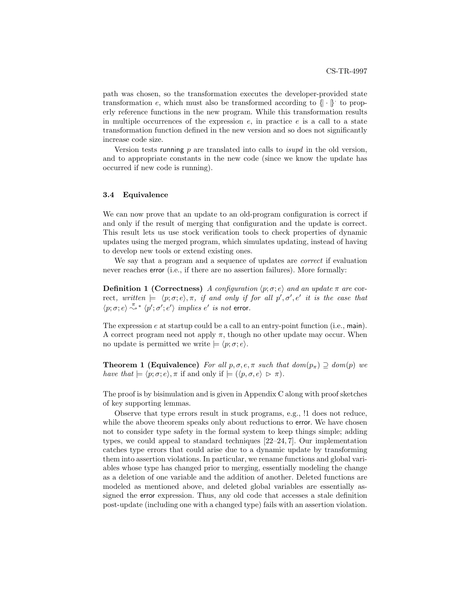path was chosen, so the transformation executes the developer-provided state transformation e, which must also be transformed according to  $\{\cdot\}$  to properly reference functions in the new program. While this transformation results in multiple occurrences of the expression  $e$ , in practice  $e$  is a call to a state transformation function defined in the new version and so does not significantly increase code size.

Version tests running  $p$  are translated into calls to *isupd* in the old version, and to appropriate constants in the new code (since we know the update has occurred if new code is running).

#### 3.4 Equivalence

We can now prove that an update to an old-program configuration is correct if and only if the result of merging that configuration and the update is correct. This result lets us use stock verification tools to check properties of dynamic updates using the merged program, which simulates updating, instead of having to develop new tools or extend existing ones.

We say that a program and a sequence of updates are correct if evaluation never reaches error (i.e., if there are no assertion failures). More formally:

**Definition 1 (Correctness)** A configuration  $\langle p; \sigma; e \rangle$  and an update  $\pi$  are correct, written  $\models \langle p; \sigma, e \rangle$ ,  $\pi$ , if and only if for all  $p', \sigma', e'$  it is the case that  $\langle p; \sigma; e \rangle \stackrel{\pi}{\leadsto}^* \langle p'; \sigma'; e' \rangle$  implies e' is not error.

The expression  $e$  at startup could be a call to an entry-point function (i.e., main). A correct program need not apply  $\pi$ , though no other update may occur. When no update is permitted we write  $\models \langle p; \sigma; e \rangle$ .

**Theorem 1 (Equivalence)** For all  $p, \sigma, e, \pi$  such that  $dom(p_\pi) \supseteq dom(p)$  we have that  $\models \langle p; \sigma, e \rangle$ ,  $\pi$  if and only if  $\models (\langle p, \sigma, e \rangle \triangleright \pi)$ .

The proof is by bisimulation and is given in Appendix C along with proof sketches of key supporting lemmas.

Observe that type errors result in stuck programs, e.g., !1 does not reduce, while the above theorem speaks only about reductions to error. We have chosen not to consider type safety in the formal system to keep things simple; adding types, we could appeal to standard techniques [22–24, 7]. Our implementation catches type errors that could arise due to a dynamic update by transforming them into assertion violations. In particular, we rename functions and global variables whose type has changed prior to merging, essentially modeling the change as a deletion of one variable and the addition of another. Deleted functions are modeled as mentioned above, and deleted global variables are essentially assigned the error expression. Thus, any old code that accesses a stale definition post-update (including one with a changed type) fails with an assertion violation.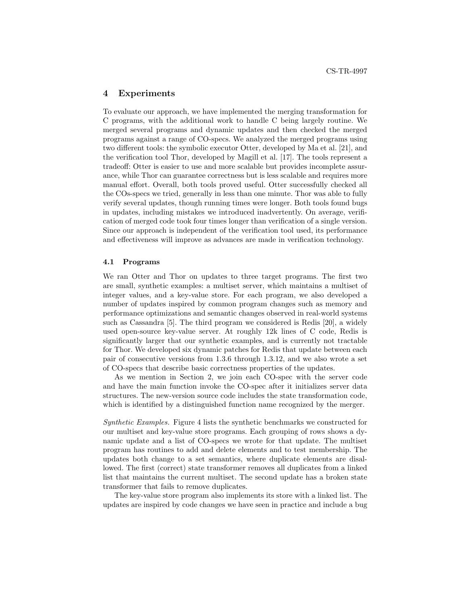# 4 Experiments

To evaluate our approach, we have implemented the merging transformation for C programs, with the additional work to handle C being largely routine. We merged several programs and dynamic updates and then checked the merged programs against a range of CO-specs. We analyzed the merged programs using two different tools: the symbolic executor Otter, developed by Ma et al. [21], and the verification tool Thor, developed by Magill et al. [17]. The tools represent a tradeoff: Otter is easier to use and more scalable but provides incomplete assurance, while Thor can guarantee correctness but is less scalable and requires more manual effort. Overall, both tools proved useful. Otter successfully checked all the COs-specs we tried, generally in less than one minute. Thor was able to fully verify several updates, though running times were longer. Both tools found bugs in updates, including mistakes we introduced inadvertently. On average, verification of merged code took four times longer than verification of a single version. Since our approach is independent of the verification tool used, its performance and effectiveness will improve as advances are made in verification technology.

#### 4.1 Programs

We ran Otter and Thor on updates to three target programs. The first two are small, synthetic examples: a multiset server, which maintains a multiset of integer values, and a key-value store. For each program, we also developed a number of updates inspired by common program changes such as memory and performance optimizations and semantic changes observed in real-world systems such as Cassandra [5]. The third program we considered is Redis [20], a widely used open-source key-value server. At roughly 12k lines of C code, Redis is significantly larger that our synthetic examples, and is currently not tractable for Thor. We developed six dynamic patches for Redis that update between each pair of consecutive versions from 1.3.6 through 1.3.12, and we also wrote a set of CO-specs that describe basic correctness properties of the updates.

As we mention in Section 2, we join each CO-spec with the server code and have the main function invoke the CO-spec after it initializes server data structures. The new-version source code includes the state transformation code, which is identified by a distinguished function name recognized by the merger.

Synthetic Examples. Figure 4 lists the synthetic benchmarks we constructed for our multiset and key-value store programs. Each grouping of rows shows a dynamic update and a list of CO-specs we wrote for that update. The multiset program has routines to add and delete elements and to test membership. The updates both change to a set semantics, where duplicate elements are disallowed. The first (correct) state transformer removes all duplicates from a linked list that maintains the current multiset. The second update has a broken state transformer that fails to remove duplicates.

The key-value store program also implements its store with a linked list. The updates are inspired by code changes we have seen in practice and include a bug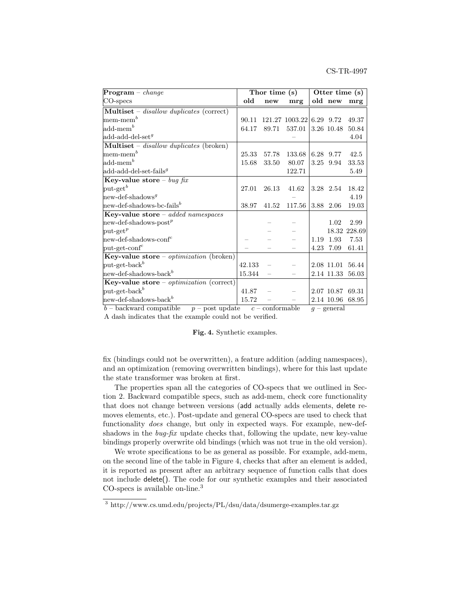| $Program - change$                                  |        | Thor time (s) |                          |      |            | Otter time (s)   |
|-----------------------------------------------------|--------|---------------|--------------------------|------|------------|------------------|
| $CO$ -specs                                         | old    | new           | mrg                      |      | old new    | mrg              |
| Multiset – disallow duplicates (correct)            |        |               |                          |      |            |                  |
| $\mu$ mem-mem <sup>b</sup>                          | 90.11  |               | 121.27 1003.22 6.29 9.72 |      |            | 49.37            |
| $\mathrm{add}\textrm{-}\mathrm{mem}^{b}$            | 64.17  | 89.71         | 537.01                   |      | 3.26 10.48 | 50.84            |
| $add-add-del-setg$                                  |        |               |                          |      |            | 4.04             |
| Multiset - disallow duplicates (broken)             |        |               |                          |      |            |                  |
| $\mathrm{mem\text{-}mem}^b$                         | 25.33  | 57.78         | 133.68                   | 6.28 | 9.77       | 42.5             |
| $\alpha$ dd-mem $^b$                                | 15.68  | 33.50         | 80.07                    |      | 3.25 9.94  | 33.53            |
| $add-add-del-set-failsg$                            |        |               | 122.71                   |      |            | 5.49             |
| Key-value store – bug fix                           |        |               |                          |      |            |                  |
| $\mathbf{put}\text{-}\mathbf{get}^b$                | 27.01  | 26.13         | 41.62                    |      | 3.28 2.54  | 18.42            |
| $new-def-shadows^g$                                 |        |               |                          |      |            | 4.19             |
| $\frac{1}{2}$ new-def-shadows-bc-fails <sup>b</sup> | 38.97  | 41.52         | 117.56                   |      | 3.88 2.06  | 19.03            |
| Key-value store $-$ added namespaces                |        |               |                          |      |            |                  |
| $\left  \text{new-def-shadows-post} \right ^p$      |        |               |                          |      | 1.02       | 2.99             |
| $put\text{-}get^p$                                  |        |               |                          |      |            | 18.32 228.69     |
| $new-def-shadows-confc$                             |        |               |                          | 1.19 | 1.93       | 7.53             |
| $put\text{-}get\text{-}conf^c$                      |        |               |                          | 4.23 | 7.09       | 61.41            |
| Key-value store – <i>optimization</i> (broken)      |        |               |                          |      |            |                  |
| $\mathbf{put}\text{-get-back}^b$                    | 42.133 |               |                          |      |            | 2.08 11.01 56.44 |
| $\mathbf{new}\text{-def-shadows-back}^b$            | 15.344 |               |                          |      |            | 2.14 11.33 56.03 |
| Key-value store – $optimization$ (correct)          |        |               |                          |      |            |                  |
| $\mathbf{put}\text{-get-back}^b$                    | 41.87  |               |                          |      |            | 2.07 10.87 69.31 |
| $new-def-shadows-back^b$                            | 15.72  |               |                          |      |            | 2.14 10.96 68.95 |
| h bookward compatible n post undate a conformable   |        |               |                          |      | a conoral  |                  |

backward compatible  $p -$  post update  $c -$  conformable  $q -$  general A dash indicates that the example could not be verified.

### Fig. 4. Synthetic examples.

fix (bindings could not be overwritten), a feature addition (adding namespaces), and an optimization (removing overwritten bindings), where for this last update the state transformer was broken at first.

The properties span all the categories of CO-specs that we outlined in Section 2. Backward compatible specs, such as add-mem, check core functionality that does not change between versions (add actually adds elements, delete removes elements, etc.). Post-update and general CO-specs are used to check that functionality does change, but only in expected ways. For example, new-defshadows in the  $bug$ -fix update checks that, following the update, new key-value bindings properly overwrite old bindings (which was not true in the old version).

We wrote specifications to be as general as possible. For example, add-mem, on the second line of the table in Figure 4, checks that after an element is added, it is reported as present after an arbitrary sequence of function calls that does not include delete(). The code for our synthetic examples and their associated CO-specs is available on-line.<sup>3</sup>

<sup>3</sup> http://www.cs.umd.edu/projects/PL/dsu/data/dsumerge-examples.tar.gz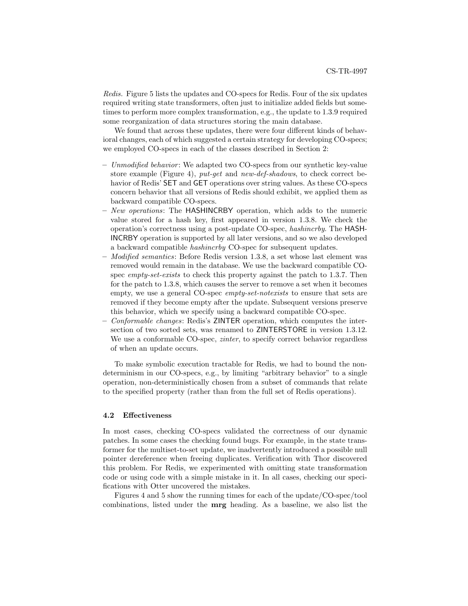Redis. Figure 5 lists the updates and CO-specs for Redis. Four of the six updates required writing state transformers, often just to initialize added fields but sometimes to perform more complex transformation, e.g., the update to 1.3.9 required some reorganization of data structures storing the main database.

We found that across these updates, there were four different kinds of behavioral changes, each of which suggested a certain strategy for developing CO-specs; we employed CO-specs in each of the classes described in Section 2:

- $-$  Unmodified behavior: We adapted two CO-specs from our synthetic key-value store example (Figure 4), put-get and new-def-shadows, to check correct behavior of Redis' SET and GET operations over string values. As these CO-specs concern behavior that all versions of Redis should exhibit, we applied them as backward compatible CO-specs.
- New operations: The HASHINCRBY operation, which adds to the numeric value stored for a hash key, first appeared in version 1.3.8. We check the operation's correctness using a post-update CO-spec, hashincrby. The HASH-INCRBY operation is supported by all later versions, and so we also developed a backward compatible hashincrby CO-spec for subsequent updates.
- Modified semantics: Before Redis version 1.3.8, a set whose last element was removed would remain in the database. We use the backward compatible COspec *empty-set-exists* to check this property against the patch to 1.3.7. Then for the patch to 1.3.8, which causes the server to remove a set when it becomes empty, we use a general CO-spec *empty-set-notexists* to ensure that sets are removed if they become empty after the update. Subsequent versions preserve this behavior, which we specify using a backward compatible CO-spec.
- Conformable changes: Redis's ZINTER operation, which computes the intersection of two sorted sets, was renamed to ZINTERSTORE in version 1.3.12. We use a conformable CO-spec, *zinter*, to specify correct behavior regardless of when an update occurs.

To make symbolic execution tractable for Redis, we had to bound the nondeterminism in our CO-specs, e.g., by limiting "arbitrary behavior" to a single operation, non-deterministically chosen from a subset of commands that relate to the specified property (rather than from the full set of Redis operations).

### 4.2 Effectiveness

In most cases, checking CO-specs validated the correctness of our dynamic patches. In some cases the checking found bugs. For example, in the state transformer for the multiset-to-set update, we inadvertently introduced a possible null pointer dereference when freeing duplicates. Verification with Thor discovered this problem. For Redis, we experimented with omitting state transformation code or using code with a simple mistake in it. In all cases, checking our specifications with Otter uncovered the mistakes.

Figures 4 and 5 show the running times for each of the update/CO-spec/tool combinations, listed under the mrg heading. As a baseline, we also list the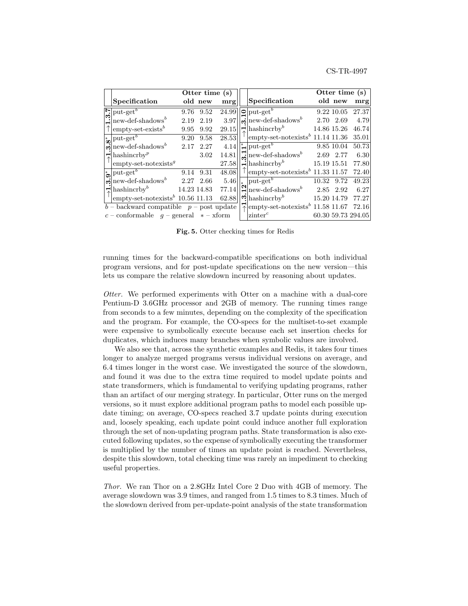|                                                                                                                                             |      | Otter time (s) |       |                                                            |             |             | Otter time $(s)$   |
|---------------------------------------------------------------------------------------------------------------------------------------------|------|----------------|-------|------------------------------------------------------------|-------------|-------------|--------------------|
| Specification                                                                                                                               |      | old new        | mrg   | Specification                                              |             | old new     | mrg                |
| $\begin{array}{l} \mathbf{L} \\ \mathbf{\dot{q}} \\ -\mathbf{new}{\text{-}}\mathrm{dev}{\text{-}}\mathrm{def}\text{-}shadows^b \end{array}$ |      | 9.76 9.52      | 24.99 | $\Box$ put-get <sup>b</sup>                                |             | 9.22 10.05  | 27.37              |
|                                                                                                                                             | 2.19 | 2.19           | 3.97  | $\dot{\mathbf{c}}$ new-def-shadows <sup>b</sup>            |             | 2.70 2.69   | 4.79               |
| $ $ empty-set-exists <sup>b</sup>                                                                                                           | 9.95 | 9.92           | 29.15 | $\vec{\mathbf{z}}$ hashincrby <sup>b</sup>                 |             | 14.86 15.26 | 46.74              |
| $\mathbf{E}[\mathbf{w}]\text{put-get}^b$                                                                                                    | 9.20 | 9.58           | 28.53 | empty-set-notexists <sup>b</sup> 11.14 11.36               |             |             | 35.01              |
|                                                                                                                                             | 2.17 | 2.27           | 4.14  | $\mathbb{H}$ put-get <sup>b</sup>                          |             | 9.85 10.04  | 50.73              |
| $\vec{\mathbf{z}}$ hashincrby <sup><i>p</i></sup>                                                                                           |      | 3.02           | 14.81 | $\vec{a}$ new-def-shadows <sup>b</sup>                     |             | 2.69 2.77   | 6.30               |
| $\mathrm{empty}\text{-set-notexists}^g$                                                                                                     |      |                | 27.58 | $\div$ hashincrby <sup>b</sup>                             | 15.19 15.51 |             | 77.80              |
| $\vert_{\mathbf{D}}^* \vert \text{put-} \overline{\text{get}^b}$                                                                            | 9.14 | 9.31           | 48.08 | $\frac{1}{2}$ empty-set-notexists <sup>b</sup> 11.33 11.57 |             |             | 72.40              |
| $\ddot{\bullet}$ new-def-shadows <sup>b</sup> 2.27 2.66                                                                                     |      |                | 5.46  | $\vert \text{put-get}^b \vert$                             | 10.32       | 9.72        | 49.23              |
| $\frac{1}{6}$   hashincrby <sup>b</sup> 14.23 14.83                                                                                         |      |                | 77.14 | $\mathbb{R}$ new-def-shadows <sup>b</sup>                  |             | 2.85 2.92   | 6.27               |
| $ $ empty-set-notexists <sup>b</sup> 10.56 11.13                                                                                            |      |                | 62.88 | $\Omega$ hashincrby <sup>b</sup> 15.20 14.79               |             |             | 77.27              |
| $\boxed{b - \text{backward compatible}}$ $p - \text{post update}$                                                                           |      |                |       | $\mathcal{F}$ empty-set-notexists <sup>b</sup> 11.58 11.67 |             |             | 72.16              |
| $c$ – conformable $g$ – general $*$ – xform                                                                                                 |      |                |       | zinter <sup>c</sup>                                        |             |             | 60.30 59.73 294.05 |

Fig. 5. Otter checking times for Redis

running times for the backward-compatible specifications on both individual program versions, and for post-update specifications on the new version—this lets us compare the relative slowdown incurred by reasoning about updates.

Otter. We performed experiments with Otter on a machine with a dual-core Pentium-D 3.6GHz processor and 2GB of memory. The running times range from seconds to a few minutes, depending on the complexity of the specification and the program. For example, the CO-specs for the multiset-to-set example were expensive to symbolically execute because each set insertion checks for duplicates, which induces many branches when symbolic values are involved.

We also see that, across the synthetic examples and Redis, it takes four times longer to analyze merged programs versus individual versions on average, and 6.4 times longer in the worst case. We investigated the source of the slowdown, and found it was due to the extra time required to model update points and state transformers, which is fundamental to verifying updating programs, rather than an artifact of our merging strategy. In particular, Otter runs on the merged versions, so it must explore additional program paths to model each possible update timing; on average, CO-specs reached 3.7 update points during execution and, loosely speaking, each update point could induce another full exploration through the set of non-updating program paths. State transformation is also executed following updates, so the expense of symbolically executing the transformer is multiplied by the number of times an update point is reached. Nevertheless, despite this slowdown, total checking time was rarely an impediment to checking useful properties.

Thor. We ran Thor on a 2.8GHz Intel Core 2 Duo with 4GB of memory. The average slowdown was 3.9 times, and ranged from 1.5 times to 8.3 times. Much of the slowdown derived from per-update-point analysis of the state transformation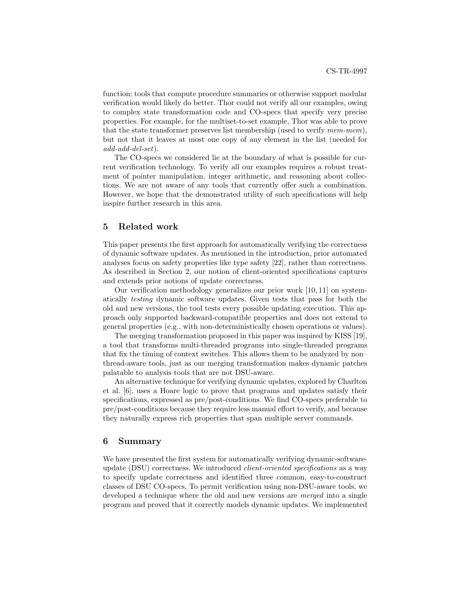function; tools that compute procedure summaries or otherwise support modular verification would likely do better. Thor could not verify all our examples, owing to complex state transformation code and CO-specs that specify very precise properties. For example, for the multiset-to-set example, Thor was able to prove that the state transformer preserves list membership (used to verify mem-mem), but not that it leaves at most one copy of any element in the list (needed for  $add\text{-}add\text{-}del\text{-}set)$ .

The CO-specs we considered lie at the boundary of what is possible for current verification technology. To verify all our examples requires a robust treatment of pointer manipulation, integer arithmetic, and reasoning about collections. We are not aware of any tools that currently offer such a combination. However, we hope that the demonstrated utility of such specifications will help inspire further research in this area.

# 5 Related work

This paper presents the first approach for automatically verifying the correctness of dynamic software updates. As mentioned in the introduction, prior automated analyses focus on safety properties like type safety [22], rather than correctness. As described in Section 2, our notion of client-oriented specifications captures and extends prior notions of update correctness.

Our verification methodology generalizes our prior work [10, 11] on systematically testing dynamic software updates. Given tests that pass for both the old and new versions, the tool tests every possible updating execution. This approach only supported backward-compatible properties and does not extend to general properties (e.g., with non-deterministically chosen operations or values).

The merging transformation proposed in this paper was inspired by KISS [19], a tool that transforms multi-threaded programs into single-threaded programs that fix the timing of context switches. This allows them to be analyzed by non– thread-aware tools, just as our merging transformation makes dynamic patches palatable to analysis tools that are not DSU-aware.

An alternative technique for verifying dynamic updates, explored by Charlton et al. [6], uses a Hoare logic to prove that programs and updates satisfy their specifications, expressed as pre/post-conditions. We find CO-specs preferable to pre/post-conditions because they require less manual effort to verify, and because they naturally express rich properties that span multiple server commands.

# 6 Summary

We have presented the first system for automatically verifying dynamic-softwareupdate (DSU) correctness. We introduced client-oriented specifications as a way to specify update correctness and identified three common, easy-to-construct classes of DSU CO-specs. To permit verification using non-DSU-aware tools, we developed a technique where the old and new versions are *merged* into a single program and proved that it correctly models dynamic updates. We implemented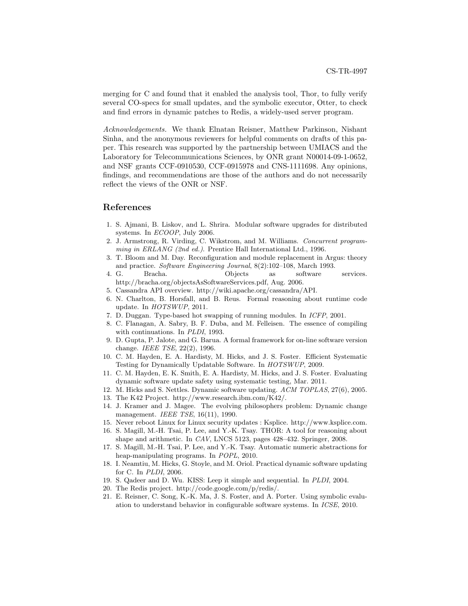merging for C and found that it enabled the analysis tool, Thor, to fully verify several CO-specs for small updates, and the symbolic executor, Otter, to check and find errors in dynamic patches to Redis, a widely-used server program.

Acknowledgements. We thank Elnatan Reisner, Matthew Parkinson, Nishant Sinha, and the anonymous reviewers for helpful comments on drafts of this paper. This research was supported by the partnership between UMIACS and the Laboratory for Telecommunications Sciences, by ONR grant N00014-09-1-0652, and NSF grants CCF-0910530, CCF-0915978 and CNS-1111698. Any opinions, findings, and recommendations are those of the authors and do not necessarily reflect the views of the ONR or NSF.

# References

- 1. S. Ajmani, B. Liskov, and L. Shrira. Modular software upgrades for distributed systems. In ECOOP, July 2006.
- 2. J. Armstrong, R. Virding, C. Wikstrom, and M. Williams. Concurrent programming in ERLANG (2nd ed.). Prentice Hall International Ltd., 1996.
- 3. T. Bloom and M. Day. Reconfiguration and module replacement in Argus: theory and practice. Software Engineering Journal, 8(2):102–108, March 1993.
- 4. G. Bracha. Objects as software services. http://bracha.org/objectsAsSoftwareServices.pdf, Aug. 2006.
- 5. Cassandra API overview. http://wiki.apache.org/cassandra/API.
- 6. N. Charlton, B. Horsfall, and B. Reus. Formal reasoning about runtime code update. In HOTSWUP, 2011.
- 7. D. Duggan. Type-based hot swapping of running modules. In ICFP, 2001.
- 8. C. Flanagan, A. Sabry, B. F. Duba, and M. Felleisen. The essence of compiling with continuations. In PLDI, 1993.
- 9. D. Gupta, P. Jalote, and G. Barua. A formal framework for on-line software version change. IEEE TSE, 22(2), 1996.
- 10. C. M. Hayden, E. A. Hardisty, M. Hicks, and J. S. Foster. Efficient Systematic Testing for Dynamically Updatable Software. In HOTSWUP, 2009.
- 11. C. M. Hayden, E. K. Smith, E. A. Hardisty, M. Hicks, and J. S. Foster. Evaluating dynamic software update safety using systematic testing, Mar. 2011.
- 12. M. Hicks and S. Nettles. Dynamic software updating. ACM TOPLAS, 27(6), 2005.
- 13. The K42 Project. http://www.research.ibm.com/K42/.
- 14. J. Kramer and J. Magee. The evolving philosophers problem: Dynamic change management. *IEEE TSE*, 16(11), 1990.
- 15. Never reboot Linux for Linux security updates : Ksplice. http://www.ksplice.com.
- 16. S. Magill, M.-H. Tsai, P. Lee, and Y.-K. Tsay. THOR: A tool for reasoning about shape and arithmetic. In CAV, LNCS 5123, pages 428–432. Springer, 2008.
- 17. S. Magill, M.-H. Tsai, P. Lee, and Y.-K. Tsay. Automatic numeric abstractions for heap-manipulating programs. In POPL, 2010.
- 18. I. Neamtiu, M. Hicks, G. Stoyle, and M. Oriol. Practical dynamic software updating for C. In PLDI, 2006.
- 19. S. Qadeer and D. Wu. KISS: Leep it simple and sequential. In PLDI, 2004.
- 20. The Redis project. http://code.google.com/p/redis/.
- 21. E. Reisner, C. Song, K.-K. Ma, J. S. Foster, and A. Porter. Using symbolic evaluation to understand behavior in configurable software systems. In ICSE, 2010.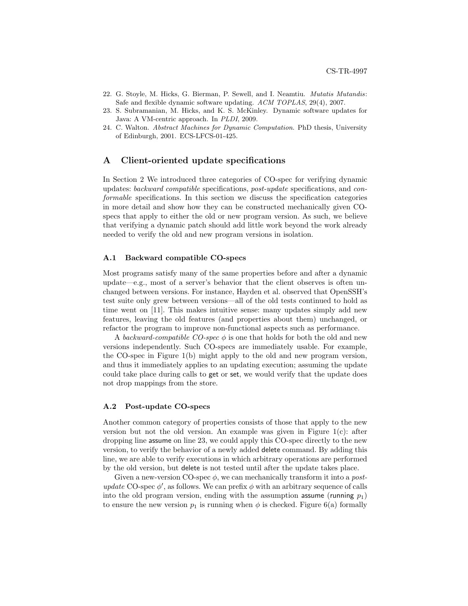- 22. G. Stoyle, M. Hicks, G. Bierman, P. Sewell, and I. Neamtiu. Mutatis Mutandis: Safe and flexible dynamic software updating. ACM TOPLAS, 29(4), 2007.
- 23. S. Subramanian, M. Hicks, and K. S. McKinley. Dynamic software updates for Java: A VM-centric approach. In PLDI, 2009.
- 24. C. Walton. Abstract Machines for Dynamic Computation. PhD thesis, University of Edinburgh, 2001. ECS-LFCS-01-425.

# A Client-oriented update specifications

In Section 2 We introduced three categories of CO-spec for verifying dynamic updates: backward compatible specifications, post-update specifications, and conformable specifications. In this section we discuss the specification categories in more detail and show how they can be constructed mechanically given COspecs that apply to either the old or new program version. As such, we believe that verifying a dynamic patch should add little work beyond the work already needed to verify the old and new program versions in isolation.

### A.1 Backward compatible CO-specs

Most programs satisfy many of the same properties before and after a dynamic update—e.g., most of a server's behavior that the client observes is often unchanged between versions. For instance, Hayden et al. observed that OpenSSH's test suite only grew between versions—all of the old tests continued to hold as time went on [11]. This makes intuitive sense: many updates simply add new features, leaving the old features (and properties about them) unchanged, or refactor the program to improve non-functional aspects such as performance.

A backward-compatible CO-spec  $\phi$  is one that holds for both the old and new versions independently. Such CO-specs are immediately usable. For example, the CO-spec in Figure 1(b) might apply to the old and new program version, and thus it immediately applies to an updating execution; assuming the update could take place during calls to get or set, we would verify that the update does not drop mappings from the store.

#### A.2 Post-update CO-specs

Another common category of properties consists of those that apply to the new version but not the old version. An example was given in Figure  $1(c)$ : after dropping line assume on line 23, we could apply this CO-spec directly to the new version, to verify the behavior of a newly added delete command. By adding this line, we are able to verify executions in which arbitrary operations are performed by the old version, but delete is not tested until after the update takes place.

Given a new-version CO-spec  $\phi$ , we can mechanically transform it into a *post*update CO-spec  $\phi'$ , as follows. We can prefix  $\phi$  with an arbitrary sequence of calls into the old program version, ending with the assumption assume (running  $p_1$ ) to ensure the new version  $p_1$  is running when  $\phi$  is checked. Figure 6(a) formally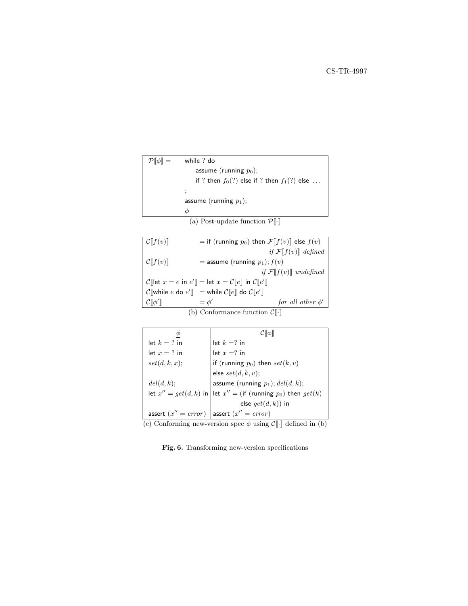| $\mathcal{P}[\![\phi]\!] =$ | while ? do                                      |
|-----------------------------|-------------------------------------------------|
|                             | assume (running $p_0$ );                        |
|                             | if ? then $f_0(?)$ else if ? then $f_1(?)$ else |
|                             |                                                 |
|                             | assume (running $p_1$ );                        |
|                             |                                                 |

(a) Post-update function  $\mathcal{P}[\![\cdot]\!]$ 

| $\mathcal{C}[[f(v)]]$                                                                  | = if (running $p_0$ ) then $\mathcal{F}[[f(v)]]$ else $f(v)$ |                                       |  |  |  |
|----------------------------------------------------------------------------------------|--------------------------------------------------------------|---------------------------------------|--|--|--|
|                                                                                        |                                                              | if $\mathcal{F}[[f(v)]]$ defined      |  |  |  |
| $\mathcal{C}[[f(v)]]$                                                                  | = assume (running $p_1$ ); $f(v)$                            |                                       |  |  |  |
|                                                                                        |                                                              | if $\mathcal{F} \  f(v) \ $ undefined |  |  |  |
| $\mathcal{C}$ [let $x = e$ in $e'$ ] = let $x = \mathcal{C}$ [e] in $\mathcal{C}$ [e'] |                                                              |                                       |  |  |  |
| $\mathcal{C}$ while e do $e'$ = while $\mathcal{C}[e]$ do $\mathcal{C}[e']$            |                                                              |                                       |  |  |  |
| $\mathcal{C}[\![\phi']\!]$                                                             | $=\phi'$                                                     | for all other $\phi'$                 |  |  |  |
| (b) Conformance function $\mathcal{C}[\cdot]$                                          |                                                              |                                       |  |  |  |

| let $k = ?$ in                                | let $k = ?$ in<br>let $x = ?$ in                                                                                                                                                                                                                                                                                                         |
|-----------------------------------------------|------------------------------------------------------------------------------------------------------------------------------------------------------------------------------------------------------------------------------------------------------------------------------------------------------------------------------------------|
| let $x = ?$ in                                |                                                                                                                                                                                                                                                                                                                                          |
|                                               | $\label{eq:2} \begin{array}{ll} set(d,k,x); \qquad \qquad \text{if (running $p_0$) then $set(k,v)$} \\ \text{else } set(d,k,v); \qquad \qquad \text{else set}(d,k,v); \qquad \qquad \text{assume (running $p_1$);} \text{ $del(d,k)$;} \\ \text{let $x''= get(d,k)$ in } \text{let $x''=(if (running $p_0$) then $get(k)$)} \end{array}$ |
|                                               |                                                                                                                                                                                                                                                                                                                                          |
|                                               |                                                                                                                                                                                                                                                                                                                                          |
|                                               |                                                                                                                                                                                                                                                                                                                                          |
|                                               | else $get(d, k)$ in                                                                                                                                                                                                                                                                                                                      |
| assert $(x'' = error)$ assert $(x'' = error)$ |                                                                                                                                                                                                                                                                                                                                          |

(c) Conforming new-version spec  $\phi$  using  $\mathcal{C}[\![\cdot]\!]$  defined in (b)

Fig. 6. Transforming new-version specifications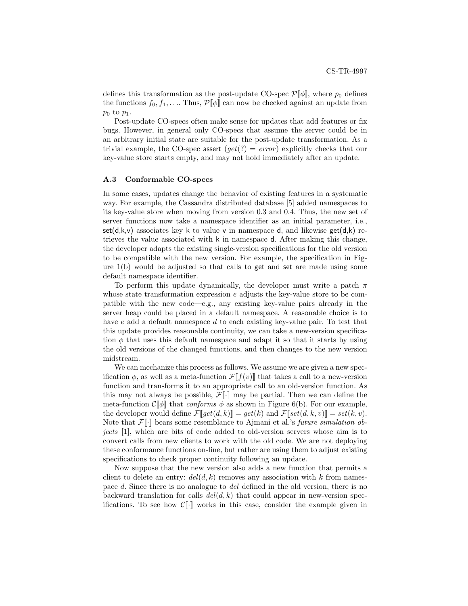defines this transformation as the post-update CO-spec  $\mathcal{P}[\phi]$ , where  $p_0$  defines the functions  $f_0, f_1, \ldots$  Thus,  $\mathcal{P}[\![\phi]\!]$  can now be checked against an update from  $p_0$  to  $p_1$ .

Post-update CO-specs often make sense for updates that add features or fix bugs. However, in general only CO-specs that assume the server could be in an arbitrary initial state are suitable for the post-update transformation. As a trivial example, the CO-spec assert  $(get?) = error)$  explicitly checks that our key-value store starts empty, and may not hold immediately after an update.

#### A.3 Conformable CO-specs

In some cases, updates change the behavior of existing features in a systematic way. For example, the Cassandra distributed database [5] added namespaces to its key-value store when moving from version 0.3 and 0.4. Thus, the new set of server functions now take a namespace identifier as an initial parameter, i.e.,  $set(d,k,v)$  associates key k to value v in namespace d, and likewise  $get(d,k)$  retrieves the value associated with k in namespace d. After making this change, the developer adapts the existing single-version specifications for the old version to be compatible with the new version. For example, the specification in Figure 1(b) would be adjusted so that calls to get and set are made using some default namespace identifier.

To perform this update dynamically, the developer must write a patch  $\pi$ whose state transformation expression e adjusts the key-value store to be compatible with the new code—e.g., any existing key-value pairs already in the server heap could be placed in a default namespace. A reasonable choice is to have e add a default namespace d to each existing key-value pair. To test that this update provides reasonable continuity, we can take a new-version specification  $\phi$  that uses this default namespace and adapt it so that it starts by using the old versions of the changed functions, and then changes to the new version midstream.

We can mechanize this process as follows. We assume we are given a new specification  $\phi$ , as well as a meta-function  $\mathcal{F}[f(v)]$  that takes a call to a new-version function and transforms it to an appropriate call to an old-version function. As this may not always be possible,  $\mathcal{F}[\cdot]$  may be partial. Then we can define the meta-function  $\mathcal{C}[\![\phi]\!]$  that *conforms*  $\phi$  as shown in Figure 6(b). For our example, the developer would define  $\mathcal{F}[get(d, k)] = get(k)$  and  $\mathcal{F}[set(d, k, v)] = set(k, v)$ . Note that  $\mathcal{F}[\cdot]$  bears some resemblance to Ajmani et al.'s *future simulation ob*jects [1], which are bits of code added to old-version servers whose aim is to convert calls from new clients to work with the old code. We are not deploying these conformance functions on-line, but rather are using them to adjust existing specifications to check proper continuity following an update.

Now suppose that the new version also adds a new function that permits a client to delete an entry:  $del(d, k)$  removes any association with k from namespace d. Since there is no analogue to del defined in the old version, there is no backward translation for calls  $del(d, k)$  that could appear in new-version specifications. To see how  $\mathcal{C}[\cdot]$  works in this case, consider the example given in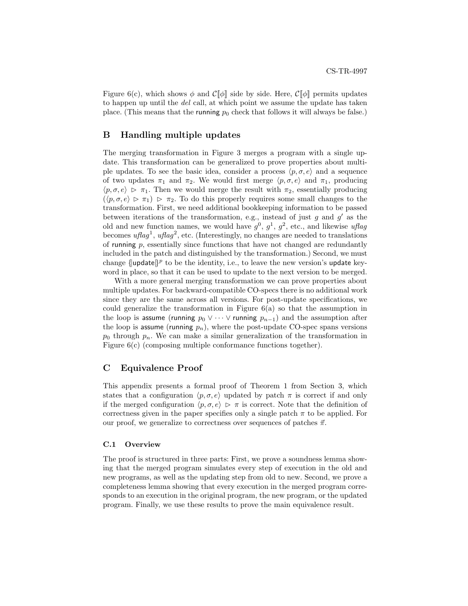Figure 6(c), which shows  $\phi$  and  $\mathcal{C}[\![\phi]\!]$  side by side. Here,  $\mathcal{C}[\![\phi]\!]$  permits updates to happen up until the del call, at which point we assume the update has taken place. (This means that the running  $p_0$  check that follows it will always be false.)

# B Handling multiple updates

The merging transformation in Figure 3 merges a program with a single update. This transformation can be generalized to prove properties about multiple updates. To see the basic idea, consider a process  $\langle p, \sigma, e \rangle$  and a sequence of two updates  $\pi_1$  and  $\pi_2$ . We would first merge  $\langle p, \sigma, e \rangle$  and  $\pi_1$ , producing  $\langle p, \sigma, e \rangle$   $\triangleright \pi_1$ . Then we would merge the result with  $\pi_2$ , essentially producing  $(\langle p, \sigma, e \rangle \triangleright \pi_1) \triangleright \pi_2$ . To do this properly requires some small changes to the transformation. First, we need additional bookkeeping information to be passed between iterations of the transformation, e.g., instead of just  $g$  and  $g'$  as the old and new function names, we would have  $g^0$ ,  $g^1$ ,  $g^2$ , etc., and likewise *uflag* becomes  $u \beta a g^1$ ,  $u \beta a g^2$ , etc. (Interestingly, no changes are needed to translations of running  $p$ , essentially since functions that have not changed are redundantly included in the patch and distinguished by the transformation.) Second, we must change  $\{\{\text{update}\}^p\}$  to be the identity, i.e., to leave the new version's update keyword in place, so that it can be used to update to the next version to be merged.

With a more general merging transformation we can prove properties about multiple updates. For backward-compatible CO-specs there is no additional work since they are the same across all versions. For post-update specifications, we could generalize the transformation in Figure 6(a) so that the assumption in the loop is assume (running  $p_0 \vee \cdots \vee$  running  $p_{n-1}$ ) and the assumption after the loop is assume (running  $p_n$ ), where the post-update CO-spec spans versions  $p_0$  through  $p_n$ . We can make a similar generalization of the transformation in Figure 6(c) (composing multiple conformance functions together).

# C Equivalence Proof

This appendix presents a formal proof of Theorem 1 from Section 3, which states that a configuration  $\langle p, \sigma, e \rangle$  updated by patch  $\pi$  is correct if and only if the merged configuration  $\langle p, \sigma, e \rangle \geq \pi$  is correct. Note that the definition of correctness given in the paper specifies only a single patch  $\pi$  to be applied. For our proof, we generalize to correctness over sequences of patches  $\vec{\pi}$ .

### C.1 Overview

The proof is structured in three parts: First, we prove a soundness lemma showing that the merged program simulates every step of execution in the old and new programs, as well as the updating step from old to new. Second, we prove a completeness lemma showing that every execution in the merged program corresponds to an execution in the original program, the new program, or the updated program. Finally, we use these results to prove the main equivalence result.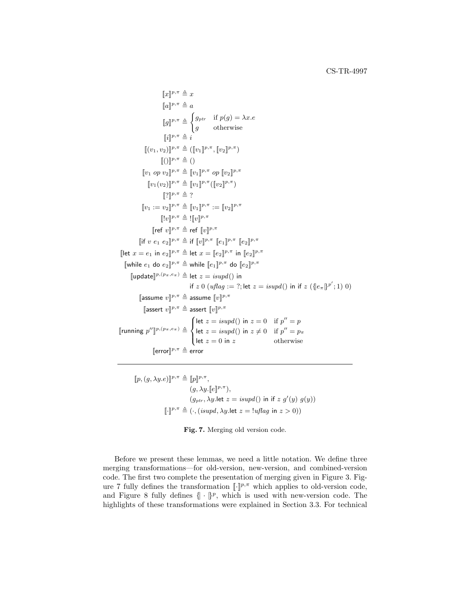$$
[x]^{p,\pi} \triangleq x
$$
\n
$$
[a]^{p,\pi} \triangleq a
$$
\n
$$
[g]^{p,\pi} \triangleq \begin{cases} g_{ptr} & \text{if } p(g) = \lambda x.e \\ g & \text{otherwise} \end{cases}
$$
\n
$$
[i]^{p,\pi} \triangleq i
$$
\n
$$
[(v_1, v_2)]^{p,\pi} \triangleq ([v_1]^{p,\pi}, [v_2]^{p,\pi})
$$
\n
$$
[0]^{p,\pi} \triangleq 0
$$
\n
$$
[v_1 op v_2]^{p,\pi} \triangleq [v_1]^{p,\pi} op [v_2]^{p,\pi}
$$
\n
$$
[v_1(v_2)]^{p,\pi} \triangleq [v_1]^{p,\pi} ([v_2]^{p,\pi})
$$
\n
$$
[?]^{p,\pi} \triangleq 2
$$
\n
$$
[v_1 := v_2]^{p,\pi} \triangleq [v_1]^{p,\pi} := [v_2]^{p,\pi}
$$
\n
$$
[v_1]^{p,\pi} \triangleq 2
$$
\n
$$
[v_1 := v_2]^{p,\pi} \triangleq [v_1]^{p,\pi}
$$
\n
$$
[v_1]^{p,\pi} \triangleq [v_2]^{p,\pi}
$$
\n
$$
[v_1]^{p,\pi} \triangleq [v_1]^{p,\pi}
$$
\n
$$
[v_1]^{p,\pi} \triangleq [v_1]^{p,\pi}
$$
\n
$$
[v_1]^{p,\pi} \triangleq [v_1]^{p,\pi}
$$
\n
$$
[v_1]^{p,\pi} \triangleq [v_1]^{p,\pi}
$$
\n
$$
[v_1]^{p,\pi} \triangleq [v_1]^{p,\pi}
$$
\n
$$
[v_1]^{p,\pi} \triangleq [v_2]^{p,\pi}
$$
\n
$$
[v_1]^{p,\pi} \triangleq [v_2]^{p,\pi}
$$
\n
$$
[v_1]^{p,\pi} \triangleq [v_2]^{p,\pi}
$$
\n
$$
[v_1]^{p,\pi} \triangleq [v_2]^{p,\pi}
$$
\n
$$
[v_1]^{p,\pi} \triangleq 2
$$
\n

 $[p,(g,\lambda y.e)]^{p,\pi} \triangleq [p]^{p,\pi},$  $(g, \lambda y. [e]^{p, \pi}),$  $(g_{ptr}, \lambda y$ . let  $z = isupd()$  in if  $z g'(y) g(y)$  $\llbracket \cdot \rrbracket^{p,\pi} \triangleq (\cdot,(\text{isupd}, \lambda y.\text{let } z = !\text{uffag in } z > 0))$ 

Fig. 7. Merging old version code.

Before we present these lemmas, we need a little notation. We define three merging transformations—for old-version, new-version, and combined-version code. The first two complete the presentation of merging given in Figure 3. Figure 7 fully defines the transformation  $\llbracket \cdot \rrbracket^{p,\pi}$  which applies to old-version code, and Figure 8 fully defines  $\{\cdot\}^p$ , which is used with new-version code. The highlights of these transformations were explained in Section 3.3. For technical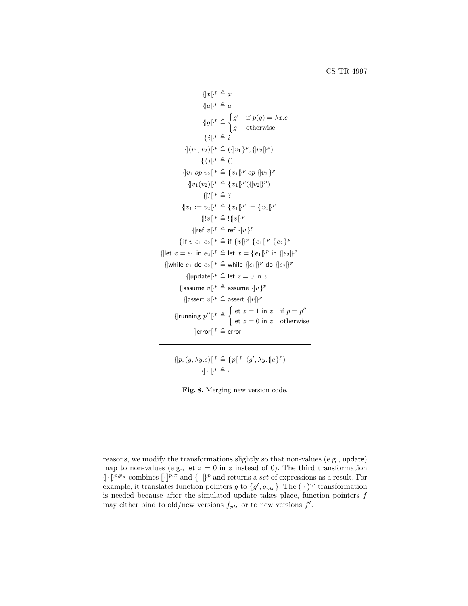```
{x\mathbb{R}^p \triangleq x}{a}{p} \triangleq a\{g\}^p \triangleq \begin{cases} g' & \text{if } p(g) = \lambda x.e. \end{cases}g otherwise
                              \{ |i|\}^p \triangleq i\{(v_1, v_2)\}^p \triangleq (\{v_1\}^p, \{v_2\}^p)\{|()| \}^p \triangleq ()
                {v_1 \ op \ v_2}^p \triangleq {v_1}^p \ op \ {v_2}^p\{[v_1(v_2)]\}^p \triangleq \{[v_1]\}^p (\{[v_2]\}^p)\{|?|\}^p \triangleq ?{ |v_1 := v_2| \}^p \triangleq { |v_1| \}^p := { |v_2| \}^p{||v||^p \triangleq ||v||^p}\{||\text{ref } v||^p \triangleq \text{ref } {||v||}^p\{if v e_1 e_2\}<sup>p</sup> \triangleq if \{v\}<sup>p</sup> \{e_1\}<sup>p</sup> \{e_2\}<sup>p</sup>
\{\|let x = e_1 in e_2\}^p \triangleq let x = \{e_1\}^p in \{e_2\}^p\{\vert\text{while }e_1\text{ do }e_2\vert\}^p \triangleq \text{while }\lbrace\vert e_1\vert\rbrace^p \text{ do }\lbrace\vert e_2\vert\rbrace^p\{\vert \text{update} \vert\}^p \triangleq \text{let } z = 0 \text{ in } z\{\vert \text{assume } v \vert\}^p \triangleq \text{assume } \{ \vert v \vert\}^p{\{\text{assert } v\}^p \triangleq \text{assert } \{ |v| \}^p{|running p''\downarrow^p \triangleq \begin{cases} \text{let } z = 1 \text{ in } z & \text{if } p = p'' \end{cases}let z = 0 in z otherwise
                      {[error]}^p \triangleq error
```
 $\{[p,(g,\lambda y.e)]\}^p \triangleq \{[p]\}^p, (g',\lambda y.\{[e]\}^p)$  $\{\|\cdot\|^p \triangleq \cdot\}$ 

Fig. 8. Merging new version code.

reasons, we modify the transformations slightly so that non-values (e.g., update) map to non-values (e.g., let  $z = 0$  in z instead of 0). The third transformation  $(\cdot\,|\,)^{p,p_{\pi}}$  combines  $[\cdot\,|\,]^{p,\pi}$  and  $\{\cdot\,|\,|^{p}$  and returns a set of expressions as a result. For example, it translates function pointers g to  $\{g', g_{ptr}\}$ . The  $(\cdot)$  is transformation is needed because after the simulated update takes place, function pointers  $f$ may either bind to old/new versions  $f_{ptr}$  or to new versions  $f'$ .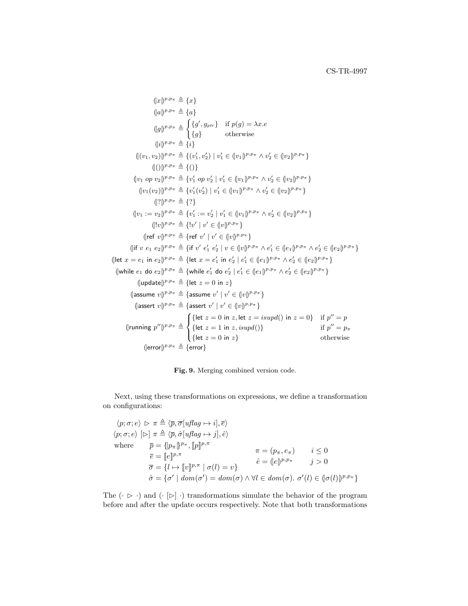$$
(x)^{p,p_{\pi}} \triangleq \{x\}
$$
  
\n
$$
(a)^{p,p_{\pi}} \triangleq \{a\}
$$
  
\n
$$
(g)^{p,p_{\pi}} \triangleq \{(g', g_{\text{ptr}}) \text{ if } p(g) = \lambda x.e
$$
  
\n
$$
(i)^{p,p_{\pi}} \triangleq \{i\}
$$
  
\n
$$
((v_1, v_2))^{p,p_{\pi}} \triangleq \{(v'_1, v'_2) \mid v'_1 \in (v_1)^{p,p_{\pi}} \wedge v'_2 \in (v_2)^{p,p_{\pi}}\}
$$
  
\n
$$
((v_1, v_2))^{p,p_{\pi}} \triangleq \{()\}
$$
  
\n
$$
(v_1 \circ p \circ v_2)^{p,p_{\pi}} \triangleq \{v'_1 \circ p \circ v'_2 \mid v'_1 \in (v_1)^{p,p_{\pi}} \wedge v'_2 \in (v_2)^{p,p_{\pi}}\}
$$
  
\n
$$
(v_1(v_2))^{p,p_{\pi}} \triangleq \{v'_1(v'_2) \mid v'_1 \in (v_1)^{p,p_{\pi}} \wedge v'_2 \in (v_2)^{p,p_{\pi}}\}
$$
  
\n
$$
(?)^{p,p_{\pi}} \triangleq \{?\}
$$
  
\n
$$
(v_1 := v_2)^{p,p_{\pi}} \triangleq \{v'_1 := v'_2 \mid v'_1 \in (v_1)^{p,p_{\pi}} \wedge v'_2 \in (v_2)^{p,p_{\pi}}\}
$$
  
\n
$$
((e_1)^{p,p_{\pi}} \triangleq \{e_1\} \vee \{v'_1 \in (e_1)^{p,p_{\pi}}\}
$$
  
\n
$$
(e_1e_2)^{p,p_{\pi}} \triangleq \{f_1\} \vee \{v'_1 \in (e_1)^{p,p_{\pi}}\}
$$
  
\n
$$
(f_2e_2)^{p,p_{\pi}} \triangleq \{f_2\} \vee \{f_2\} \vee \{f_2\} \vee \{f_2\} \vee \{f_2\} \vee \{f_2\} \vee \{f_2\} \vee \{f_2\} \vee \{f_2\} \vee \{f_2\} \vee \{f_2\}
$$

Fig. 9. Merging combined version code.

Next, using these transformations on expressions, we define a transformation on configurations:

$$
\langle p; \sigma; e \rangle \triangleright \pi \triangleq \langle \overline{p}, \overline{\sigma} [u \text{flag} \mapsto i], \overline{e} \rangle
$$
  
\n
$$
\langle p; \sigma; e \rangle \triangleright \pi \triangleq \langle \overline{p}, \hat{\sigma} [u \text{flag} \mapsto j], \hat{e} \rangle
$$
  
\nwhere  
\n
$$
\overline{p} = \{ [p_{\pi}] \}^{p_{\pi}}, [p]^{p_{\pi}}
$$
  
\n
$$
\overline{e} = [e]^{p_{\pi}}
$$
  
\n
$$
\overline{\sigma} = \{ l \mapsto [v]^{p_{\pi}} \mid \sigma(l) = v \}
$$
  
\n
$$
\hat{\sigma} = \{ \sigma' \mid \text{dom}(\sigma') = \text{dom}(\sigma) \land \forall l \in \text{dom}(\sigma). \sigma'(l) \in (\sigma(l))^{p_{\pi}} \}
$$

The  $(\cdot\,\rhd\,\cdot)$  and  $(\cdot\,\lvert\rhd\rvert\,\cdot)$  transformations simulate the behavior of the program before and after the update occurs respectively. Note that both transformations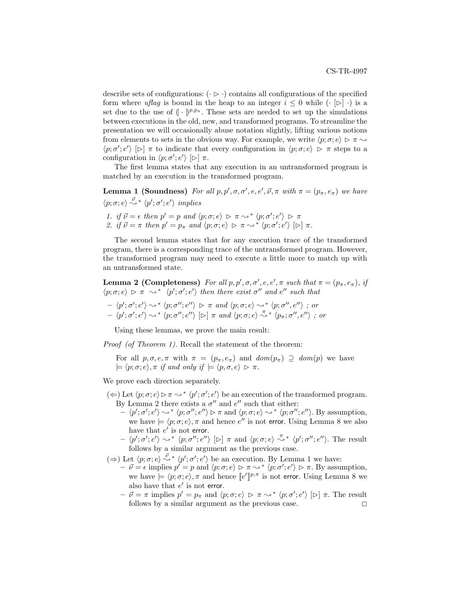describe sets of configurations:  $(·)$  contains all configurations of the specified form where uflag is bound in the heap to an integer  $i \leq 0$  while  $\langle \cdot | \triangleright \cdot \rangle$  is a set due to the use of  $(\cdot \, )^{p,p_{\pi}}$ . These sets are needed to set up the simulations between executions in the old, new, and transformed programs. To streamline the presentation we will occasionally abuse notation slightly, lifting various notions from elements to sets in the obvious way. For example, we write  $\langle p; \sigma; e \rangle \triangleright \pi \rightarrow$  $\langle p; \sigma' ; e' \rangle$  [D]  $\pi$  to indicate that every configuration in  $\langle p; \sigma ; e \rangle \supset \pi$  steps to a configuration in  $\langle p; \sigma'; e' \rangle$  [ $\rangle \rangle \pi$ .

The first lemma states that any execution in an untransformed program is matched by an execution in the transformed program.

**Lemma 1 (Soundness)** For all  $p, p', \sigma, \sigma', e, e', \vec{\nu}, \pi$  with  $\pi = (p_{\pi}, e_{\pi})$  we have  $\langle p; \sigma; e \rangle \stackrel{\vec{v}}{\leadsto}^* \langle p'; \sigma'; e' \rangle$  implies

1. if  $\vec{\nu} = \epsilon$  then  $p' = p$  and  $\langle p; \sigma; e \rangle \supset \pi \leadsto^* \langle p; \sigma'; e' \rangle \supset \pi$ <br>2. if  $\vec{\nu} = \pi$  then  $p' = p_{\pi}$  and  $\langle p; \sigma; e \rangle \supset \pi \leadsto^* \langle p; \sigma'; e' \rangle$   $[\triangleright] \pi$ .

The second lemma states that for any execution trace of the transformed program, there is a corresponding trace of the untransformed program. However, the transformed program may need to execute a little more to match up with an untransformed state.

**Lemma 2 (Completeness)** For all  $p, p', \sigma, \sigma', e, e', \pi$  such that  $\pi = (p_{\pi}, e_{\pi}), \text{ if }$  $\langle p; \sigma; e \rangle$   $\triangleright \pi \rightsquigarrow^* \langle p'; \sigma'; e' \rangle$  then there exist  $\sigma''$  and  $e''$  such that

– hp 0 ; σ 0 ; e 0 <sup>i</sup> ;<sup>∗</sup> hp; σ <sup>00</sup>; e <sup>00</sup><sup>i</sup> <sup>π</sup> and <sup>h</sup>p; <sup>σ</sup>; <sup>e</sup><sup>i</sup> ;<sup>∗</sup> hp; σ <sup>00</sup>, e<sup>00</sup>i ; or – hp 0 ; σ 0 ; e 0 <sup>i</sup> ;<sup>∗</sup> hp; σ <sup>00</sup>; e <sup>00</sup><sup>i</sup> [] <sup>π</sup> and <sup>h</sup>p; <sup>σ</sup>; <sup>e</sup><sup>i</sup> π;∗ hpπ; σ <sup>00</sup>, e<sup>00</sup>i ; or

Using these lemmas, we prove the main result:

Proof (of Theorem 1). Recall the statement of the theorem:

For all  $p, \sigma, e, \pi$  with  $\pi = (p_{\pi}, e_{\pi})$  and  $dom(p_{\pi}) \supseteq dom(p)$  we have  $\models \langle p; \sigma; e \rangle$ ,  $\pi$  if and only if  $\models \langle p, \sigma, e \rangle \triangleright \pi$ .

We prove each direction separately.

- ( $\Leftarrow$ ) Let  $\langle p; \sigma; e \rangle \triangleright \pi \leadsto^* \langle p'; \sigma'; e' \rangle$  be an execution of the transformed program. By Lemma 2 there exists a  $\sigma''$  and  $e''$  such that either:
	- $\langle p';\sigma';e'\rangle \sim^* \langle p;\sigma'';e''\rangle \rhd \pi \text{ and } \langle p;\sigma;e\rangle \sim^* \langle p;\sigma'';e''\rangle.$  By assumption, we have  $\models \langle p; \sigma; e \rangle$ ,  $\pi$  and hence  $e''$  is not error. Using Lemma 8 we also have that  $e'$  is not error.
	- $-\langle p';\sigma';e'\rangle \rightsquigarrow^* \langle p;\sigma'';e''\rangle [\rhd] \pi \text{ and } \langle p;\sigma;e\rangle \stackrel{\pi}{\leadsto^*} \langle p';\sigma'';e''\rangle.$  The result follows by a similar argument as the previous case.
- $(\Rightarrow)$  Let  $\langle p; \sigma; e \rangle \stackrel{\vec{v}}{\sim}^* \langle p'; \sigma'; e' \rangle$  be an execution. By Lemma 1 we have:
	- $\nu = \vec{v} = \epsilon$  implies  $p' = p$  and  $\langle p; \sigma; e \rangle \triangleright \pi \leadsto^* \langle p; \sigma'; e' \rangle \triangleright \pi$ . By assumption, we have  $\models \langle p; \sigma; e \rangle$ ,  $\pi$  and hence  $\llbracket e' \rrbracket^{p,\pi}$  is not error. Using Lemma 8 we also have that  $e'$  is not error.
	- $-\vec{\nu} = \pi$  implies  $p' = p_{\pi}$  and  $\langle p; \sigma; e \rangle \triangleright \pi \leadsto^* \langle p; \sigma'; e' \rangle \triangleright \pi$ . The result follows by a similar argument as the previous case.  $\Box$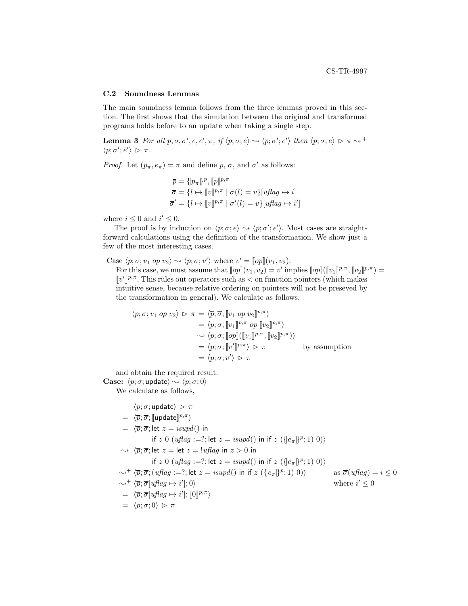# C.2 Soundness Lemmas

The main soundness lemma follows from the three lemmas proved in this section. The first shows that the simulation between the original and transformed programs holds before to an update when taking a single step.

Lemma 3 For all  $p, \sigma, \sigma', e, e', \pi, if \langle p; \sigma; e \rangle \sim \langle p; \sigma'; e' \rangle$  then  $\langle p; \sigma; e \rangle \supset \pi \sim^+$  $\langle p; \sigma'; e' \rangle \;\rhd\; \pi.$ 

*Proof.* Let  $(p_{\pi}, e_{\pi}) = \pi$  and define  $\bar{p}, \bar{\sigma}$ , and  $\bar{\sigma}'$  as follows:

$$
\overline{p} = \{[p_{\pi}]\}^p, [p]^{p, \pi}
$$

$$
\overline{\sigma} = \{l \mapsto [v]^{p, \pi} \mid \sigma(l) = v\} [u \text{flag} \mapsto i]
$$

$$
\overline{\sigma'} = \{l \mapsto [v]^{p, \pi} \mid \sigma'(l) = v\} [u \text{flag} \mapsto i']
$$

where  $i \leq 0$  and  $i' \leq 0$ .

The proof is by induction on  $\langle p; \sigma; e \rangle \sim \langle p; \sigma'; e' \rangle$ . Most cases are straightforward calculations using the definition of the transformation. We show just a few of the most interesting cases.

Case  $\langle p; \sigma; v_1 \text{ op } v_2 \rangle \sim \langle p; \sigma; v' \rangle$  where  $v' = [\![op]\!](v_1, v_2)$ :

For this case, we must assume that  $[op](v_1, v_2) = v'$  implies  $[op] ([v_1]^{p,\pi}, [v_2]^{p,\pi}) =$  $[ [v']^{p,\pi}$ . This rules out operators such as  $\lt$  on function pointers (which makes intuitive sense, because relative ordering on pointers will not be preseved by the transformation in general). We calculate as follows,

$$
\langle p; \sigma; v_1 \text{ op } v_2 \rangle \triangleright \pi = \langle \overline{p}; \overline{\sigma}; [v_1 \text{ op } v_2]^{p,\pi} \rangle
$$
  
\n
$$
= \langle \overline{p}; \overline{\sigma}; [v_1]^{p,\pi} \text{ op } [v_2]^{p,\pi} \rangle
$$
  
\n
$$
\sim \langle \overline{p}; \overline{\sigma}; [p] \langle [v_1]^{p,\pi}, [v_2]^{p,\pi} \rangle \rangle
$$
  
\n
$$
= \langle p; \sigma; [v']^{p,\pi} \rangle \triangleright \pi
$$
 by assumption  
\n
$$
= \langle p; \sigma; v' \rangle \triangleright \pi
$$

and obtain the required result.

**Case:**  $\langle p; \sigma; \text{update} \rangle \sim \langle p; \sigma; 0 \rangle$ 

We calculate as follows,

$$
\langle p; \sigma; \mathsf{update} \rangle \triangleright \pi
$$
\n
$$
= \langle \overline{p}; \overline{\sigma}; [\mathsf{update}]^{p,\pi} \rangle
$$
\n
$$
= \langle \overline{p}; \overline{\sigma}; [\mathsf{let } z = isupd() \text{ in } \overline{\text{if } z \ 0 \ (uflag := ?; \text{let } z = isupd() \text{ in } \overline{\text{if } z \ ({e_{\pi}[}P; 1) \ 0)} \rangle
$$
\n
$$
\sim \langle \overline{p}; \overline{\sigma}; \text{let } z = \text{let } z = \text{[}uflag \text{ in } z > 0 \text{ in } \overline{\text{if } z \ ({e_{\pi}[}P; 1) \ 0)} \rangle
$$
\n
$$
\sim^{\star} \langle \overline{p}; \overline{\sigma}; (\mathsf{uflag} := ?; \text{let } z = isupd() \text{ in } \overline{\text{if } z \ ({e_{\pi}[}P; 1) \ 0)} \rangle
$$
\n
$$
\sim^{\star} \langle \overline{p}; \overline{\sigma}; (\mathsf{uflag} := ?; \text{let } z = isupd() \text{ in } \overline{\text{if } z \ ({e_{\pi}[}P; 1) \ 0)} \rangle \text{ as } \overline{\sigma}(\mathsf{uflag}) = i \leq 0
$$
\n
$$
\sim^{\star} \langle \overline{p}; \overline{\sigma}[\mathsf{uflag} \mapsto i^{\prime}]; 0 \rangle \text{ where } i^{\prime} \leq 0
$$
\n
$$
= \langle \overline{p}; \overline{\sigma}[\mathsf{uflag} \mapsto i^{\prime}]; [\overline{0}]^{p,\pi} \rangle
$$
\n
$$
= \langle p; \sigma; 0 \rangle \triangleright \pi
$$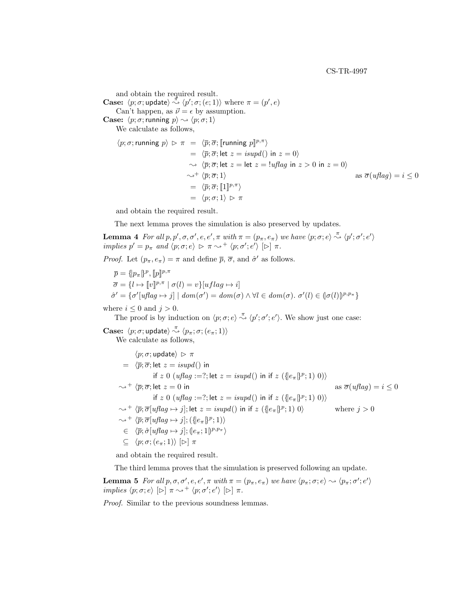and obtain the required result.

**Case:**  $\langle p; \sigma; \text{update} \rangle \stackrel{\pi}{\leadsto} \langle p'; \sigma; (e; 1) \rangle$  where  $\pi = (p', e)$ Can't happen, as  $\vec{\nu} = \epsilon$  by assumption.

**Case:**  $\langle p; \sigma;$ running  $p \rangle \sim \langle p; \sigma; 1 \rangle$ 

We calculate as follows,

 $\langle p; \sigma;$  running  $p \rangle \triangleright \pi = \langle \overline{p}; \overline{\sigma}; \overline{z}$  running  $p \overline{p}$ ,  $\overline{p}$ ,  $= \langle \overline{p}; \overline{\sigma}$ ; let  $z = isupd()$  in  $z = 0$  $\rightsquigarrow \langle \overline{p}; \overline{\sigma};$  let  $z =$  let  $z = !u$ flag in  $z > 0$  in  $z = 0$ ;<br>  $\rightsquigarrow^+ \langle \overline{p}; \overline{\sigma}; 1 \rangle$ as  $\overline{\sigma}(u\widehat{H} aq) = i \leq 0$  $= \langle \overline{p}; \overline{\sigma}; [1]^{p,\pi} \rangle$  $= \langle p; \sigma; 1 \rangle \vartriangleright \pi$ 

and obtain the required result.

The next lemma proves the simulation is also preserved by updates.

**Lemma 4** For all  $p, p', \sigma, \sigma', e, e', \pi$  with  $\pi = (p_\pi, e_\pi)$  we have  $\langle p; \sigma; e \rangle \stackrel{\pi}{\leadsto} \langle p'; \sigma'; e' \rangle$ implies  $p' = p_{\pi}$  and  $\langle p; \sigma; e \rangle \supset \pi \sim^+ \langle p; \sigma'; e' \rangle \supset [\rhd] \pi$ .

*Proof.* Let  $(p_{\pi}, e_{\pi}) = \pi$  and define  $\bar{p}, \bar{\sigma}$ , and  $\hat{\sigma}'$  as follows.

 $\bar{p} = \{p_{\pi}\}^p, [p]^{p, \pi}$  $\overline{\sigma} = \{l \mapsto [v]^{p,\pi} \mid \sigma(l) = v\} [uflag \mapsto i]$  $\hat{\sigma}' = {\sigma'[uflag \mapsto j] \mid dom(\sigma') = dom(\sigma) \land \forall l \in dom(\sigma). \sigma'(l) \in {\sigma(l)}\}^{p,p_{\pi}}$ 

where  $i \leq 0$  and  $j > 0$ .

The proof is by induction on  $\langle p; \sigma; e \rangle \stackrel{\pi}{\leadsto} \langle p'; \sigma'; e' \rangle$ . We show just one case:

**Case:**  $\langle p; \sigma; \text{update} \rangle \stackrel{\pi}{\leadsto} \langle p_{\pi}; \sigma; (e_{\pi}; 1) \rangle$ We calculate as follows,

$$
\langle p; \sigma; \mathsf{update} \rangle \triangleright \pi
$$
\n
$$
= \langle \overline{p}; \overline{\sigma}; \mathsf{let } z = \mathsf{isupd}() \mathsf{ in}
$$
\n
$$
\text{if } z \ 0 \ (u\mathsf{flag} := ?; \mathsf{let } z = \mathsf{isupd}() \mathsf{ in } \mathsf{if } z \ (\{\mathsf{le}_{\pi}\}^p; 1) \ 0) \rangle
$$
\n
$$
\sim^+ \langle \overline{p}; \overline{\sigma}; \mathsf{let } z = 0 \mathsf{ in}
$$
\n
$$
\text{if } z \ 0 \ (u\mathsf{flag} := ?; \mathsf{let } z = \mathsf{isupd}() \mathsf{ in } \mathsf{if } z \ (\{\mathsf{le}_{\pi}\}^p; 1) \ 0) \rangle
$$
\n
$$
\sim^+ \langle \overline{p}; \overline{\sigma}[\mathsf{u}\mathsf{flag} \mapsto j]; \mathsf{let } z = \mathsf{isupd}() \mathsf{ in } \mathsf{if } z \ (\{\mathsf{le}_{\pi}\}^p; 1) \ 0 \rangle \qquad \text{where } j > 0
$$
\n
$$
\sim^+ \langle \overline{p}; \overline{\sigma}[\mathsf{u}\mathsf{flag} \mapsto j]; (\{\mathsf{le}_{\pi}\}^p; 1) \rangle
$$
\n
$$
\in \langle \overline{p}; \hat{\sigma}[\mathsf{u}\mathsf{flag} \mapsto j]; \{\mathsf{le}_{\pi}; 1\}^{p, p_{\pi}} \rangle
$$
\n
$$
\subseteq \langle p; \sigma; (\mathsf{e}_{\pi}; 1) \rangle \ [\triangleright] \ \pi
$$

and obtain the required result.

The third lemma proves that the simulation is preserved following an update.

**Lemma 5** For all  $p, \sigma, \sigma', e, e', \pi$  with  $\pi = (p_{\pi}, e_{\pi})$  we have  $\langle p_{\pi}; \sigma; e \rangle \sim \langle p_{\pi}; \sigma'; e' \rangle$ implies  $\langle p; \sigma; e \rangle \; [\triangleright] \; \pi \sim^+ \langle p; \sigma'; e' \rangle \; [\triangleright] \; \pi.$ 

Proof. Similar to the previous soundness lemmas.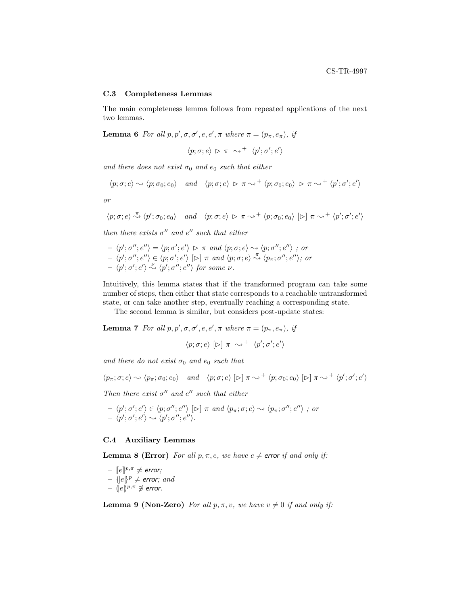#### C.3 Completeness Lemmas

The main completeness lemma follows from repeated applications of the next two lemmas.

**Lemma 6** For all  $p, p', \sigma, \sigma', e, e', \pi$  where  $\pi = (p_{\pi}, e_{\pi}), \text{ if}$ 

$$
\langle p; \sigma; e \rangle \; \triangleright \; \pi \; \rightsquigarrow^{+} \; \langle p'; \sigma'; e' \rangle
$$

and there does not exist  $\sigma_0$  and  $e_0$  such that either

$$
\langle p; \sigma; e \rangle \sim \langle p; \sigma_0; e_0 \rangle \quad and \quad \langle p; \sigma; e \rangle \; \triangleright \; \pi \sim^+ \langle p; \sigma_0; e_0 \rangle \; \triangleright \; \pi \sim^+ \langle p'; \sigma'; e' \rangle
$$

or

$$
\langle p;\sigma;e\rangle \stackrel{\pi}{\leadsto} \langle p';\sigma_0;e_0\rangle \quad \text{and} \quad \langle p;\sigma;e\rangle \;\rhd\; \pi \leadsto^+ \langle p;\sigma_0;e_0\rangle \; [\rhd] \; \pi \leadsto^+ \langle p';\sigma';e'\rangle
$$

then there exists  $\sigma''$  and  $e''$  such that either

– hp 0 ; σ <sup>00</sup>; e <sup>00</sup>i = hp; σ 0 ; e 0 <sup>i</sup> <sup>π</sup> and <sup>h</sup>p; <sup>σ</sup>; <sup>e</sup><sup>i</sup> ; <sup>h</sup>p; <sup>σ</sup> <sup>00</sup>; e <sup>00</sup>i ; or – hp 0 ; σ <sup>00</sup>; e <sup>00</sup>i ∈ hp; σ 0 ; e 0 <sup>i</sup> [] <sup>π</sup> and <sup>h</sup>p; <sup>σ</sup>; <sup>e</sup><sup>i</sup> π; <sup>h</sup>pπ; <sup>σ</sup> <sup>00</sup>; e <sup>00</sup>i; or – hp 0 ; σ 0 ; e 0 i ν; <sup>h</sup><sup>p</sup> 0 ; σ <sup>00</sup>; e <sup>00</sup>i for some ν.

Intuitively, this lemma states that if the transformed program can take some number of steps, then either that state corresponds to a reachable untransformed state, or can take another step, eventually reaching a corresponding state.

The second lemma is similar, but considers post-update states:

**Lemma 7** For all  $p, p', \sigma, \sigma', e, e', \pi$  where  $\pi = (p_{\pi}, e_{\pi}), \text{ if}$ 

$$
\langle p;\sigma;e\rangle\ [\rhd] \ \pi\ \leadsto^+ \ \langle p';\sigma';e'\rangle
$$

and there do not exist  $\sigma_0$  and  $e_0$  such that

$$
\langle p_{\pi};\sigma;e\rangle \sim \langle p_{\pi};\sigma_0;e_0\rangle \quad and \quad \langle p;\sigma;e\rangle \;[\triangleright] \;{\pi} \sim^{+} \langle p;\sigma_0;e_0\rangle \;[\triangleright] \;{\pi} \sim^{+} \langle p';\sigma';e'\rangle
$$

Then there exist  $\sigma''$  and  $e''$  such that either

$$
- \langle p'; \sigma'; e' \rangle \in \langle p; \sigma''; e'' \rangle \in \rangle \Rightarrow \langle p_{\pi}; \sigma; e \rangle \sim \langle p_{\pi}; \sigma''; e'' \rangle \text{ or } - \langle p'; \sigma'; e' \rangle \sim \langle p'; \sigma''; e'' \rangle.
$$

### C.4 Auxiliary Lemmas

**Lemma 8 (Error)** For all  $p, \pi, e$ , we have  $e \neq$  **error** if and only if:

$$
- [e]^{p,\pi} \neq \text{error};
$$
  
\n
$$
- [e]^{p} \neq \text{error}; \text{ and}
$$
  
\n
$$
- (e)^{p,\pi} \neq \text{error}.
$$

**Lemma 9 (Non-Zero)** For all  $p, \pi, v$ , we have  $v \neq 0$  if and only if: